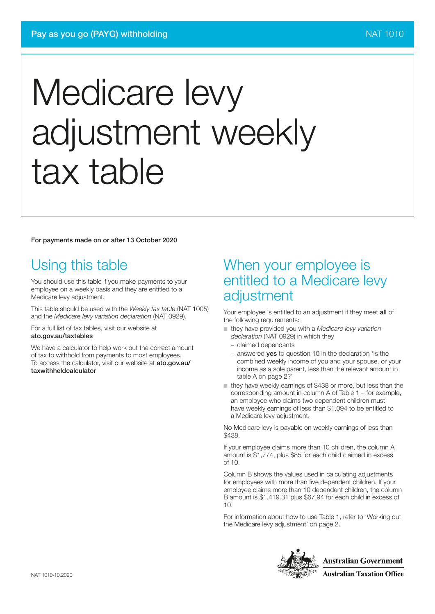For payments made on or after 13 October 2020

# Using this table

You should use this table if you make payments to your employee on a weekly basis and they are entitled to a Medicare levy adjustment.

This table should be used with the *Weekly tax table* (NAT 1005) and the *Medicare levy variation declaration* (NAT 0929).

For a full list of tax tables, visit our website at ato.gov.au/taxtables

We have a calculator to help work out the correct amount of tax to withhold from payments to most employees. To access the calculator, visit our website at ato.gov.au/ taxwithheldcalculator

## When your employee is entitled to a Medicare levy adjustment

Your employee is entitled to an adjustment if they meet all of the following requirements:

- ■ they have provided you with a *Medicare levy variation declaration* (NAT 0929) in which they
	- claimed dependants
	- answered yes to question 10 in the declaration 'Is the combined weekly income of you and your spouse, or your income as a sole parent, less than the relevant amount in table A on page 2?'
- they have weekly earnings of \$438 or more, but less than the corresponding amount in column A of Table 1 – for example, an employee who claims two dependent children must have weekly earnings of less than \$1,094 to be entitled to a Medicare levy adjustment.

No Medicare levy is payable on weekly earnings of less than \$438.

If your employee claims more than 10 children, the column A amount is \$1,774, plus \$85 for each child claimed in excess of 10.

Column B shows the values used in calculating adjustments for employees with more than five dependent children. If your employee claims more than 10 dependent children, the column B amount is \$1,419.31 plus \$67.94 for each child in excess of 10.

For information about how to use Table 1, refer to 'Working out the Medicare levy adjustment' on page 2.

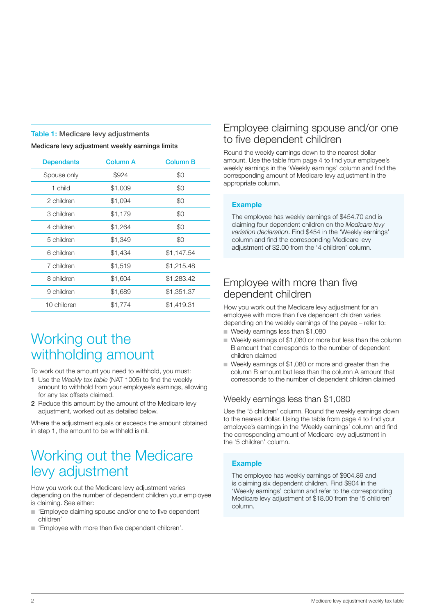#### Table 1: Medicare levy adjustments

Medicare levy adjustment weekly earnings limits

| <b>Dependants</b> | <b>Column A</b> | <b>Column B</b> |
|-------------------|-----------------|-----------------|
| Spouse only       | \$924           | \$0             |
| 1 child           | \$1,009         | \$0             |
| 2 children        | \$1,094         | \$0             |
| 3 children        | \$1,179         | \$0             |
| 4 children        | \$1,264         | \$0             |
| 5 children        | \$1,349         | \$0             |
| 6 children        | \$1,434         | \$1,147.54      |
| 7 children        | \$1,519         | \$1,215.48      |
| 8 children        | \$1,604         | \$1,283.42      |
| 9 children        | \$1,689         | \$1,351.37      |
| 10 children       | \$1,774         | \$1,419.31      |

# Working out the withholding amount

To work out the amount you need to withhold, you must:

- 1 Use the *Weekly tax table* (NAT 1005) to find the weekly amount to withhold from your employee's earnings, allowing for any tax offsets claimed.
- 2 Reduce this amount by the amount of the Medicare levy adjustment, worked out as detailed below.

Where the adjustment equals or exceeds the amount obtained in step 1, the amount to be withheld is nil.

# Working out the Medicare levy adjustment

How you work out the Medicare levy adjustment varies depending on the number of dependent children your employee is claiming. See either:

- 'Employee claiming spouse and/or one to five dependent children'
- 'Employee with more than five dependent children'.

## Employee claiming spouse and/or one to five dependent children

Round the weekly earnings down to the nearest dollar amount. Use the table from page 4 to find your employee's weekly earnings in the 'Weekly earnings' column and find the corresponding amount of Medicare levy adjustment in the appropriate column.

### Example

The employee has weekly earnings of \$454.70 and is claiming four dependent children on the *Medicare levy variation declaration*. Find \$454 in the 'Weekly earnings' column and find the corresponding Medicare levy adjustment of \$2.00 from the '4 children' column.

## Employee with more than five dependent children

How you work out the Medicare levy adjustment for an employee with more than five dependent children varies depending on the weekly earnings of the payee – refer to:

- Weekly earnings less than \$1,080
- Weekly earnings of \$1,080 or more but less than the column B amount that corresponds to the number of dependent children claimed
- ■ Weekly earnings of \$1,080 or more and greater than the column B amount but less than the column A amount that corresponds to the number of dependent children claimed

## Weekly earnings less than \$1,080

Use the '5 children' column. Round the weekly earnings down to the nearest dollar. Using the table from page 4 to find your employee's earnings in the 'Weekly earnings' column and find the corresponding amount of Medicare levy adjustment in the '5 children' column.

## Example

The employee has weekly earnings of \$904.89 and is claiming six dependent children. Find \$904 in the 'Weekly earnings' column and refer to the corresponding Medicare levy adjustment of \$18.00 from the '5 children' column.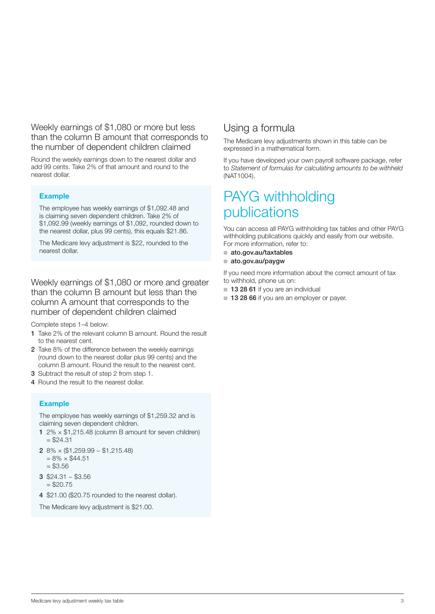Weekly earnings of \$1,080 or more but less than the column B amount that corresponds to the number of dependent children claimed

Round the weekly earnings down to the nearest dollar and add 99 cents. Take 2% of that amount and round to the nearest dollar.

## Example

The employee has weekly earnings of \$1,092.48 and is claiming seven dependent children. Take 2% of \$1,092.99 (weekly earnings of \$1,092, rounded down to the nearest dollar, plus 99 cents), this equals \$21.86.

The Medicare levy adjustment is \$22, rounded to the nearest dollar.

Weekly earnings of \$1,080 or more and greater than the column B amount but less than the column A amount that corresponds to the number of dependent children claimed

Complete steps 1–4 below:

- 1 Take 2% of the relevant column B amount. Round the result to the nearest cent.
- 2 Take 8% of the difference between the weekly earnings (round down to the nearest dollar plus 99 cents) and the column B amount. Round the result to the nearest cent.
- 3 Subtract the result of step 2 from step 1.
- 4 Round the result to the nearest dollar.

#### Example

The employee has weekly earnings of \$1,259.32 and is claiming seven dependent children.

- 1  $2\% \times $1,215.48$  (column B amount for seven children)  $= $24.31$
- 2 8% × (\$1,259.99 − \$1,215.48)  $= 8\% \times $44.51$ 
	- $= $3.56$
- 3 \$24.31 − \$3.56  $= $20.75$
- 4 \$21.00 (\$20.75 rounded to the nearest dollar).

The Medicare levy adjustment is \$21.00.

## Using a formula

The Medicare levy adjustments shown in this table can be expressed in a mathematical form.

If you have developed your own payroll software package, refer to *Statement of formulas for calculating amounts to be withheld*  (NAT1004).

## PAYG withholding publications

You can access all PAYG withholding tax tables and other PAYG withholding publications quickly and easily from our website. For more information, refer to:

- ato.gov.au/taxtables
- ato.gov.au/paygw

If you need more information about the correct amount of tax to withhold, phone us on:

- 13 28 61 if you are an individual
- 13 28 66 if you are an employer or payer.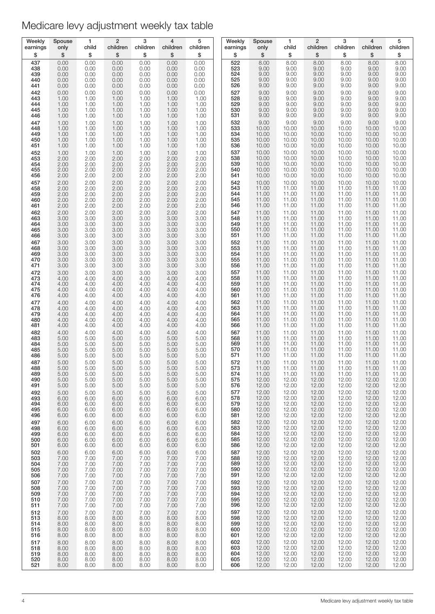| Weekly            | Spouse               | 1                    | $\overline{2}$       | 3                    | 4                    | 5                    | Weekly            | Spouse                  | 1                       | $\overline{2}$          | 3                       | $\overline{4}$          | 5                       |
|-------------------|----------------------|----------------------|----------------------|----------------------|----------------------|----------------------|-------------------|-------------------------|-------------------------|-------------------------|-------------------------|-------------------------|-------------------------|
| earnings          | only                 | child                | children             | children             | children             | children             | earnings          | only                    | child                   | children                | children                | children                | children                |
| \$<br>437<br>438  | \$<br>0.00           | \$<br>0.00           | \$<br>0.00           | \$<br>0.00<br>0.00   | \$<br>0.00<br>0.00   | \$<br>0.00           | \$<br>522<br>523  | \$<br>8.00<br>9.00      | \$<br>8.00<br>9.00      | \$<br>8.00              | \$<br>8.00<br>9.00      | \$<br>8.00<br>9.00      | \$<br>8.00<br>9.00      |
| 439<br>440        | 0.00<br>0.00<br>0.00 | 0.00<br>0.00<br>0.00 | 0.00<br>0.00<br>0.00 | 0.00<br>0.00         | 0.00<br>0.00         | 0.00<br>0.00<br>0.00 | 524<br>525        | 9.00<br>9.00            | 9.00<br>9.00            | 9.00<br>9.00<br>9.00    | 9.00<br>9.00            | 9.00<br>9.00            | 9.00<br>9.00            |
| 441               | 0.00                 | 0.00                 | 0.00                 | 0.00                 | 0.00                 | 0.00                 | 526               | 9.00                    | 9.00                    | 9.00                    | 9.00                    | 9.00                    | 9.00                    |
| 442               | 0.00                 | 0.00                 | 0.00                 | 0.00                 | 0.00                 | 0.00                 | 527               | 9.00                    | 9.00                    | 9.00                    | 9.00                    | 9.00                    | 9.00                    |
| 443               | 1.00                 | 1.00                 | 1.00                 | 1.00                 | 1.00                 | 1.00                 | 528               | 9.00                    | 9.00                    | 9.00                    | 9.00                    | 9.00                    | 9.00                    |
| 444               | 1.00                 | 1.00                 | 1.00                 | 1.00                 | 1.00                 | 1.00                 | 529               | 9.00                    | 9.00                    | 9.00                    | 9.00                    | 9.00                    | 9.00                    |
| 445               | 1.00                 | 1.00                 | 1.00                 | 1.00                 | 1.00                 | 1.00                 | 530               | 9.00                    | 9.00                    | 9.00                    | 9.00                    | 9.00                    | 9.00                    |
| 446               | 1.00                 | 1.00                 | 1.00                 | 1.00                 | 1.00                 | 1.00                 | 531               | 9.00                    | 9.00                    | 9.00                    | 9.00                    | 9.00                    | 9.00                    |
| 447<br>448<br>449 | 1.00<br>1.00         | 1.00<br>1.00<br>1.00 | 1.00<br>1.00         | 1.00<br>1.00<br>1.00 | 1.00<br>1.00         | 1.00<br>1.00<br>1.00 | 532<br>533<br>534 | 9.00<br>10.00           | 9.00<br>10.00<br>10.00  | 9.00<br>10.00           | 9.00<br>10.00<br>10.00  | 9.00<br>10.00<br>10.00  | 9.00<br>10.00<br>10.00  |
| 450<br>451        | 1.00<br>1.00<br>1.00 | 1.00<br>1.00         | 1.00<br>1.00<br>1.00 | 1.00<br>1.00         | 1.00<br>1.00<br>1.00 | 1.00<br>1.00         | 535<br>536        | 10.00<br>10.00<br>10.00 | 10.00<br>10.00          | 10.00<br>10.00<br>10.00 | 10.00<br>10.00          | 10.00<br>10.00          | 10.00<br>10.00          |
| 452               | 1.00                 | 1.00                 | 1.00                 | 1.00                 | 1.00                 | 1.00                 | 537               | 10.00                   | 10.00                   | 10.00                   | 10.00                   | 10.00                   | 10.00                   |
| 453               | 2.00                 | 2.00                 | 2.00                 | 2.00                 | 2.00                 | 2.00                 | 538               | 10.00                   | 10.00                   | 10.00                   | 10.00                   | 10.00                   | 10.00                   |
| 454               | 2.00                 | 2.00                 | 2.00                 | 2.00                 | 2.00                 | 2.00                 | 539               | 10.00                   | 10.00                   | 10.00                   | 10.00                   | 10.00                   | 10.00                   |
| 455               | 2.00                 | 2.00                 | 2.00                 | 2.00                 | 2.00                 | 2.00                 | 540               | 10.00                   | 10.00                   | 10.00                   | 10.00                   | 10.00                   | 10.00                   |
| 456<br>457<br>458 | 2.00<br>2.00<br>2.00 | 2.00<br>2.00<br>2.00 | 2.00<br>2.00         | 2.00<br>2.00<br>2.00 | 2.00<br>2.00<br>2.00 | 2.00<br>2.00<br>2.00 | 541<br>542<br>543 | 10.00<br>10.00<br>11.00 | 10.00<br>10.00<br>11.00 | 10.00<br>10.00<br>11.00 | 10.00<br>10.00<br>11.00 | 10.00<br>10.00<br>11.00 | 10.00<br>10.00<br>11.00 |
| 459<br>460        | 2.00<br>2.00         | 2.00<br>2.00         | 2.00<br>2.00<br>2.00 | 2.00<br>2.00         | 2.00<br>2.00         | 2.00<br>2.00         | 544<br>545        | 11.00<br>11.00          | 11.00<br>11.00          | 11.00<br>11.00          | 11.00<br>11.00          | 11.00<br>11.00          | 11.00<br>11.00          |
| 461               | 2.00                 | 2.00                 | 2.00                 | 2.00                 | 2.00                 | 2.00                 | 546               | 11.00                   | 11.00                   | 11.00                   | 11.00                   | 11.00                   | 11.00                   |
| 462               | 2.00                 | 2.00                 | 2.00                 | 2.00                 | 2.00                 | 2.00                 | 547               | 11.00                   | 11.00                   | 11.00                   | 11.00                   | 11.00                   | 11.00                   |
| 463               | 3.00                 | 3.00                 | 3.00                 | 3.00                 | 3.00                 | 3.00                 | 548               | 11.00                   | 11.00                   | 11.00                   | 11.00                   | 11.00                   | 11.00                   |
| 464               | 3.00                 | 3.00                 | 3.00                 | 3.00                 | 3.00                 | 3.00                 | 549               | 11.00                   | 11.00                   | 11.00                   | 11.00                   | 11.00                   | 11.00                   |
| 465<br>466        | 3.00<br>3.00         | 3.00<br>3.00         | 3.00<br>3.00         | 3.00<br>3.00         | 3.00<br>3.00         | 3.00<br>3.00         | 550<br>551        | 11.00<br>11.00          | 11.00<br>11.00          | 11.00<br>11.00          | 11.00<br>11.00          | 11.00<br>11.00          | 11.00<br>11.00<br>11.00 |
| 467<br>468<br>469 | 3.00<br>3.00<br>3.00 | 3.00<br>3.00<br>3.00 | 3.00<br>3.00<br>3.00 | 3.00<br>3.00<br>3.00 | 3.00<br>3.00<br>3.00 | 3.00<br>3.00<br>3.00 | 552<br>553<br>554 | 11.00<br>11.00<br>11.00 | 11.00<br>11.00<br>11.00 | 11.00<br>11.00<br>11.00 | 11.00<br>11.00<br>11.00 | 11.00<br>11.00<br>11.00 | 11.00<br>11.00          |
| 470               | 3.00                 | 3.00                 | 3.00                 | 3.00                 | 3.00                 | 3.00                 | 555               | 11.00                   | 11.00                   | 11.00                   | 11.00                   | 11.00                   | 11.00                   |
| 471               | 3.00                 | 3.00                 | 3.00                 | 3.00                 | 3.00                 | 3.00                 | 556               | 11.00                   | 11.00                   | 11.00                   | 11.00                   | 11.00                   | 11.00                   |
| 472               | 3.00                 | 3.00                 | 3.00                 | 3.00                 | 3.00                 | 3.00                 | 557               | 11.00                   | 11.00                   | 11.00                   | 11.00                   | 11.00                   | 11.00                   |
| 473               | 4.00                 | 4.00                 | 4.00                 | 4.00                 | 4.00                 | 4.00                 | 558               | 11.00                   | 11.00                   | 11.00                   | 11.00                   | 11.00                   | 11.00                   |
| 474               | 4.00                 | 4.00                 | 4.00                 | 4.00                 | 4.00                 | 4.00                 | 559               | 11.00                   | 11.00                   | 11.00                   | 11.00                   | 11.00                   | 11.00                   |
| 475               | 4.00                 | 4.00                 | 4.00                 | 4.00                 | 4.00                 | 4.00                 | 560               | 11.00                   | 11.00                   | 11.00                   | 11.00                   | 11.00                   | 11.00                   |
| 476               | 4.00                 | 4.00                 | 4.00                 | 4.00                 | 4.00                 | 4.00                 | 561               | 11.00                   | 11.00                   | 11.00                   | 11.00                   | 11.00                   | 11.00                   |
| 477               | 4.00                 | 4.00                 | 4.00                 | 4.00                 | 4.00                 | 4.00                 | 562               | 11.00                   | 11.00                   | 11.00                   | 11.00                   | 11.00                   | 11.00                   |
| 478               | 4.00                 | 4.00                 | 4.00                 | 4.00                 | 4.00                 | 4.00                 | 563               | 11.00                   | 11.00                   | 11.00                   | 11.00                   | 11.00                   | 11.00                   |
| 479               | 4.00                 | 4.00                 | 4.00                 | 4.00                 | 4.00                 | 4.00                 | 564               | 11.00                   | 11.00                   | 11.00                   | 11.00                   | 11.00                   | 11.00                   |
| 480               | 4.00                 | 4.00                 | 4.00                 | 4.00                 | 4.00                 | 4.00                 | 565               | 11.00                   | 11.00                   | 11.00                   | 11.00                   | 11.00                   | 11.00                   |
| 481               | 4.00                 | 4.00                 | 4.00                 | 4.00                 | 4.00                 | 4.00                 | 566               | 11.00                   | 11.00                   | 11.00                   | 11.00                   | 11.00                   | 11.00                   |
| 482               | 4.00                 | 4.00                 | 4.00                 | 4.00                 | 4.00                 | 4.00                 | 567               | 11.00                   | 11.00                   | 11.00                   | 11.00                   | 11.00                   | 11.00                   |
| 483               | 5.00                 | 5.00                 | 5.00                 | 5.00                 | 5.00                 | 5.00                 | 568               | 11.00                   | 11.00                   | 11.00                   | 11.00                   | 11.00                   | 11.00                   |
| 484               | 5.00                 | 5.00                 | 5.00                 | 5.00                 | 5.00                 | 5.00                 | 569               | 11.00                   | 11.00                   | 11.00                   | 11.00                   | 11.00                   | 11.00                   |
| 485               | 5.00                 | 5.00                 | 5.00                 | 5.00                 | 5.00                 | 5.00                 | 570               | 11.00                   | 11.00                   | 11.00                   | 11.00                   | 11.00                   | 11.00                   |
| 486               | 5.00                 | 5.00                 | 5.00                 | 5.00                 | 5.00                 | 5.00                 | 571               | 11.00                   | 11.00                   | 11.00                   | 11.00                   | 11.00                   | 11.00                   |
| 487               | 5.00                 | 5.00                 | 5.00                 | 5.00                 | 5.00                 | 5.00                 | 572               | 11.00                   | 11.00                   | 11.00                   | 11.00                   | 11.00                   | 11.00                   |
| 488               | 5.00                 | 5.00                 | 5.00                 | 5.00                 | 5.00                 | 5.00                 | 573               | 11.00                   | 11.00                   | 11.00                   | 11.00                   | 11.00                   | 11.00                   |
| 489               | 5.00                 | 5.00                 | 5.00                 | 5.00                 | 5.00                 | 5.00                 | 574               | 11.00                   | 11.00                   | 11.00                   | 11.00                   | 11.00                   | 11.00                   |
| 490               | 5.00                 | 5.00                 | 5.00                 | 5.00                 | 5.00                 | 5.00                 | 575               | 12.00                   | 12.00                   | 12.00                   | 12.00                   | 12.00                   | 12.00                   |
| 491               | 5.00                 | 5.00                 | 5.00                 | 5.00                 | 5.00                 | 5.00                 | 576               | 12.00                   | 12.00                   | 12.00                   | 12.00                   | 12.00                   | 12.00                   |
| 492               | 5.00                 | 5.00                 | 5.00                 | 5.00                 | 5.00                 | 5.00                 | 577               | 12.00                   | 12.00                   | 12.00                   | 12.00                   | 12.00                   | 12.00                   |
| 493<br>494<br>495 | 6.00<br>6.00<br>6.00 | 6.00<br>6.00         | 6.00<br>6.00         | 6.00<br>6.00         | 6.00<br>6.00         | 6.00<br>6.00<br>6.00 | 578<br>579<br>580 | 12.00<br>12.00<br>12.00 | 12.00<br>12.00<br>12.00 | 12.00<br>12.00<br>12.00 | 12.00<br>12.00<br>12.00 | 12.00<br>12.00<br>12.00 | 12.00<br>12.00<br>12.00 |
| 496<br>497        | 6.00<br>6.00         | 6.00<br>6.00<br>6.00 | 6.00<br>6.00<br>6.00 | 6.00<br>6.00<br>6.00 | 6.00<br>6.00<br>6.00 | 6.00<br>6.00         | 581<br>582        | 12.00<br>12.00          | 12.00<br>12.00          | 12.00<br>12.00          | 12.00<br>12.00          | 12.00<br>12.00          | 12.00<br>12.00          |
| 498<br>499        | 6.00<br>6.00         | 6.00<br>6.00         | 6.00<br>6.00         | 6.00<br>6.00         | 6.00<br>6.00         | 6.00<br>6.00         | 583<br>584        | 12.00<br>12.00          | 12.00<br>12.00          | 12.00<br>12.00          | 12.00<br>12.00          | 12.00<br>12.00          | $12.00$<br>$12.00$      |
| 500               | 6.00                 | 6.00                 | 6.00                 | 6.00                 | 6.00                 | 6.00                 | 585               | 12.00                   | 12.00                   | 12.00                   | 12.00                   | 12.00                   | 12.00                   |
| 501               | 6.00                 | 6.00                 | 6.00                 | 6.00                 | 6.00                 | 6.00                 | 586               | 12.00                   | 12.00                   | 12.00                   | 12.00                   | 12.00                   | 12.00                   |
| 502               | 6.00                 | 6.00                 | 6.00                 | 6.00                 | 6.00                 | 6.00                 | 587               | 12.00                   | 12.00                   | 12.00                   | 12.00                   | 12.00                   | 12.00                   |
| 503               | 7.00                 | 7.00                 | 7.00                 | 7.00                 | 7.00                 | 7.00                 | 588               | 12.00                   | 12.00                   | 12.00                   | 12.00                   | 12.00                   | 12.00                   |
| 504               | 7.00                 | 7.00                 | 7.00                 | 7.00                 | 7.00                 | 7.00                 | 589               | 12.00                   | 12.00                   | 12.00                   | 12.00                   | 12.00                   | 12.00                   |
| 505               | 7.00                 | 7.00                 | 7.00                 | 7.00                 | 7.00                 | 7.00                 | 590               | 12.00                   | 12.00                   | 12.00                   | 12.00                   | 12.00                   | 12.00                   |
| 506               | 7.00                 | 7.00                 | 7.00                 | 7.00                 | 7.00                 | 7.00                 | 591               | 12.00                   | 12.00                   | 12.00                   | 12.00                   | 12.00                   | 12.00                   |
| 507               | 7.00                 | 7.00                 | 7.00                 | 7.00                 | 7.00                 | 7.00                 | 592               | 12.00                   | 12.00                   | 12.00                   | 12.00                   | 12.00                   | 12.00                   |
| 508               | 7.00                 | 7.00                 | 7.00                 | 7.00                 | 7.00                 | 7.00                 | 593               | 12.00                   | 12.00                   | 12.00                   | 12.00                   | 12.00                   | 12.00                   |
| 509<br>510        | 7.00<br>7.00         | 7.00<br>7.00         | 7.00<br>7.00         | 7.00<br>7.00         | 7.00<br>7.00         | 7.00<br>7.00         | 594<br>595        | 12.00<br>12.00          | 12.00<br>12.00          | 12.00<br>12.00          | 12.00<br>12.00          | 12.00<br>12.00          | $12.00$<br>$12.00$      |
| 511               | 7.00                 | 7.00                 | 7.00                 | 7.00                 | 7.00                 | 7.00                 | 596               | 12.00                   | 12.00                   | 12.00                   | 12.00                   | 12.00                   | 12.00                   |
| 512               | 7.00                 | 7.00                 | 7.00                 | 7.00                 | 7.00                 | 7.00                 | 597               | 12.00                   | 12.00                   | 12.00                   | 12.00                   | 12.00                   | 12.00                   |
| 513               | 8.00                 | 8.00                 | 8.00                 | 8.00                 | 8.00                 | 8.00                 | 598               | 12.00                   | 12.00                   | 12.00                   | 12.00                   | 12.00                   | 12.00                   |
| 514               | 8.00                 | 8.00                 | 8.00                 | 8.00                 | 8.00                 | 8.00                 | 599               | 12.00                   | 12.00                   | 12.00                   | 12.00                   | 12.00                   | 12.00                   |
| 515               | 8.00                 | 8.00                 | 8.00                 | 8.00                 | 8.00                 | 8.00                 | 600               | 12.00                   | 12.00                   | 12.00                   | 12.00                   | 12.00                   | 12.00                   |
| 516               | 8.00                 | 8.00                 | 8.00                 | 8.00                 | 8.00                 | 8.00                 | 601               | 12.00                   | 12.00                   | 12.00                   | 12.00                   | 12.00                   | 12.00                   |
| 517               | 8.00                 | 8.00                 | 8.00                 | 8.00                 | 8.00                 | 8.00                 | 602               | 12.00                   | 12.00                   | 12.00                   | 12.00                   | 12.00                   | 12.00                   |
| 518               | 8.00                 | 8.00                 | 8.00                 | 8.00                 | 8.00                 | 8.00                 | 603               | 12.00                   | 12.00                   | 12.00                   | 12.00                   | 12.00                   | 12.00                   |
| 519               | 8.00                 | 8.00                 | 8.00                 | 8.00                 | 8.00                 | 8.00                 | 604               | 12.00                   | 12.00                   | 12.00                   | 12.00                   | 12.00                   | 12.00                   |
| 520<br>521        | 8.00<br>8.00         | 8.00<br>8.00         | 8.00<br>8.00         | 8.00<br>8.00         | 8.00<br>8.00         | 8.00<br>8.00         | 605<br>606        | 12.00<br>12.00          | 12.00<br>12.00          | 12.00<br>12.00          | 12.00<br>12.00          | 12.00<br>12.00          | 12.00<br>12.00          |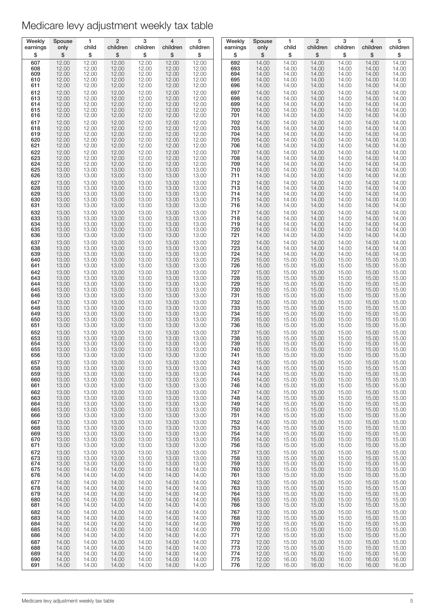| Weekly   | Spouse | 1     | $\overline{2}$ | 3        | 4        | 5        | Weekly   | Spouse | $\mathbf{1}$ | $\overline{2}$ | 3        | $\overline{4}$ | 5        |
|----------|--------|-------|----------------|----------|----------|----------|----------|--------|--------------|----------------|----------|----------------|----------|
| earnings | only   | child | children       | children | children | children | earnings | only   | child        | children       | children | children       | children |
| \$       | \$     | \$    | \$             | \$       | \$       | \$       | \$       | \$     | \$           | \$             | \$       | \$             | \$       |
| 607      | 12.00  | 12.00 | 12.00          | 12.00    | 12.00    | 12.00    | 692      | 14.00  | 14.00        | 14.00          | 14.00    | 14.00          | 14.00    |
| 608      | 12.00  | 12.00 | 12.00          | 12.00    | 12.00    | 12.00    | 693      | 14.00  | 14.00        | 14.00          | 14.00    | 14.00          | 14.00    |
| 609      | 12.00  | 12.00 | 12.00          | 12.00    | 12.00    | 12.00    | 694      | 14.00  | 14.00        | 14.00          | 14.00    | 14.00          | 14.00    |
| 610      | 12.00  | 12.00 | 12.00          | 12.00    | 12.00    | 12.00    | 695      | 14.00  | 14.00        | 14.00          | 14.00    | 14.00          | 14.00    |
| 611      | 12.00  | 12.00 | 12.00          | 12.00    | 12.00    | 12.00    | 696      | 14.00  | 14.00        | 14.00          | 14.00    | 14.00          | 14.00    |
| 612      | 12.00  | 12.00 | 12.00          | 12.00    | 12.00    | 12.00    | 697      | 14.00  | 14.00        | 14.00          | 14.00    | 14.00          | 14.00    |
| 613      | 12.00  | 12.00 | 12.00          | 12.00    | 12.00    | 12.00    | 698      | 14.00  | 14.00        | 14.00          | 14.00    | 14.00          | 14.00    |
| 614      | 12.00  | 12.00 | 12.00          | 12.00    | 12.00    | 12.00    | 699      | 14.00  | 14.00        | 14.00          | 14.00    | 14.00          | 14.00    |
| 615      | 12.00  | 12.00 | 12.00          | 12.00    | 12.00    | 12.00    | 700      | 14.00  | 14.00        | 14.00          | 14.00    | 14.00          | 14.00    |
| 616      | 12.00  | 12.00 | 12.00          | 12.00    | 12.00    | 12.00    | 701      | 14.00  | 14.00        | 14.00          | 14.00    | 14.00          | 14.00    |
| 617      | 12.00  | 12.00 | 12.00          | 12.00    | 12.00    | 12.00    | 702      | 14.00  | 14.00        | 14.00          | 14.00    | 14.00          | 14.00    |
| 618      | 12.00  | 12.00 | 12.00          | 12.00    | 12.00    | 12.00    | 703      | 14.00  | 14.00        | 14.00          | 14.00    | 14.00          | 14.00    |
| 619      | 12.00  | 12.00 | 12.00          | 12.00    | 12.00    | 12.00    | 704      | 14.00  | 14.00        | 14.00          | 14.00    | 14.00          | 14.00    |
| 620      | 12.00  | 12.00 | 12.00          | 12.00    | 12.00    | 12.00    | 705      | 14.00  | 14.00        | 14.00          | 14.00    | 14.00          | 14.00    |
| 621      | 12.00  | 12.00 | 12.00          | 12.00    | 12.00    | 12.00    | 706      | 14.00  | 14.00        | 14.00          | 14.00    | 14.00          | 14.00    |
| 622      | 12.00  | 12.00 | 12.00          | 12.00    | 12.00    | 12.00    | 707      | 14.00  | 14.00        | 14.00          | 14.00    | 14.00          | 14.00    |
| 623      | 12.00  | 12.00 | 12.00          | 12.00    | 12.00    | 12.00    | 708      | 14.00  | 14.00        | 14.00          | 14.00    | 14.00          | 14.00    |
| 624      | 12.00  | 12.00 | 12.00          | 12.00    | 12.00    | 12.00    | 709      | 14.00  | 14.00        | 14.00          | 14.00    | 14.00          | 14.00    |
| 625      | 13.00  | 13.00 | 13.00          | 13.00    | 13.00    | 13.00    | 710      | 14.00  | 14.00        | 14.00          | 14.00    | 14.00          | 14.00    |
| 626      | 13.00  | 13.00 | 13.00          | 13.00    | 13.00    | 13.00    | 711      | 14.00  | 14.00        | 14.00          | 14.00    | 14.00          | 14.00    |
| 627      | 13.00  | 13.00 | 13.00          | 13.00    | 13.00    | 13.00    | 712      | 14.00  | 14.00        | 14.00          | 14.00    | 14.00          | 14.00    |
| 628      | 13.00  | 13.00 | 13.00          | 13.00    | 13.00    | 13.00    | 713      | 14.00  | 14.00        | 14.00          | 14.00    | 14.00          | 14.00    |
| 629      | 13.00  | 13.00 | 13.00          | 13.00    | 13.00    | 13.00    | 714      | 14.00  | 14.00        | 14.00          | 14.00    | 14.00          | 14.00    |
| 630      | 13.00  | 13.00 | 13.00          | 13.00    | 13.00    | 13.00    | 715      | 14.00  | 14.00        | 14.00          | 14.00    | 14.00          | 14.00    |
| 631      | 13.00  | 13.00 | 13.00          | 13.00    | 13.00    | 13.00    | 716      | 14.00  | 14.00        | 14.00          | 14.00    | 14.00          | 14.00    |
| 632      | 13.00  | 13.00 | 13.00          | 13.00    | 13.00    | 13.00    | 717      | 14.00  | 14.00        | 14.00          | 14.00    | 14.00          | 14.00    |
| 633      | 13.00  | 13.00 | 13.00          | 13.00    | 13.00    | 13.00    | 718      | 14.00  | 14.00        | 14.00          | 14.00    | 14.00          | 14.00    |
| 634      | 13.00  | 13.00 | 13.00          | 13.00    | 13.00    | 13.00    | 719      | 14.00  | 14.00        | 14.00          | 14.00    | 14.00          | 14.00    |
| 635      | 13.00  | 13.00 | 13.00          | 13.00    | 13.00    | 13.00    | 720      | 14.00  | 14.00        | 14.00          | 14.00    | 14.00          | 14.00    |
| 636      | 13.00  | 13.00 | 13.00          | 13.00    | 13.00    | 13.00    | 721      | 14.00  | 14.00        | 14.00          | 14.00    | 14.00          | 14.00    |
| 637      | 13.00  | 13.00 | 13.00          | 13.00    | 13.00    | 13.00    | 722      | 14.00  | 14.00        | 14.00          | 14.00    | 14.00          | 14.00    |
| 638      | 13.00  | 13.00 | 13.00          | 13.00    | 13.00    | 13.00    | 723      | 14.00  | 14.00        | 14.00          | 14.00    | 14.00          | 14.00    |
| 639      | 13.00  | 13.00 | 13.00          | 13.00    | 13.00    | 13.00    | 724      | 14.00  | 14.00        | 14.00          | 14.00    | 14.00          | 14.00    |
| 640      | 13.00  | 13.00 | 13.00          | 13.00    | 13.00    | 13.00    | 725      | 15.00  | 15.00        | 15.00          | 15.00    | 15.00          | 15.00    |
| 641      | 13.00  | 13.00 | 13.00          | 13.00    | 13.00    | 13.00    | 726      | 15.00  | 15.00        | 15.00          | 15.00    | 15.00          | 15.00    |
| 642      | 13.00  | 13.00 | 13.00          | 13.00    | 13.00    | 13.00    | 727      | 15.00  | 15.00        | 15.00          | 15.00    | 15.00          | 15.00    |
| 643      | 13.00  | 13.00 | 13.00          | 13.00    | 13.00    | 13.00    | 728      | 15.00  | 15.00        | 15.00          | 15.00    | 15.00          | 15.00    |
| 644      | 13.00  | 13.00 | 13.00          | 13.00    | 13.00    | 13.00    | 729      | 15.00  | 15.00        | 15.00          | 15.00    | 15.00          | 15.00    |
| 645      | 13.00  | 13.00 | 13.00          | 13.00    | 13.00    | 13.00    | 730      | 15.00  | 15.00        | 15.00          | 15.00    | 15.00          | 15.00    |
| 646      | 13.00  | 13.00 | 13.00          | 13.00    | 13.00    | 13.00    | 731      | 15.00  | 15.00        | 15.00          | 15.00    | 15.00          | 15.00    |
| 647      | 13.00  | 13.00 | 13.00          | 13.00    | 13.00    | 13.00    | 732      | 15.00  | 15.00        | 15.00          | 15.00    | 15.00          | 15.00    |
| 648      | 13.00  | 13.00 | 13.00          | 13.00    | 13.00    | 13.00    | 733      | 15.00  | 15.00        | 15.00          | 15.00    | 15.00          | 15.00    |
| 649      | 13.00  | 13.00 | 13.00          | 13.00    | 13.00    | 13.00    | 734      | 15.00  | 15.00        | 15.00          | 15.00    | 15.00          | 15.00    |
| 650      | 13.00  | 13.00 | 13.00          | 13.00    | 13.00    | 13.00    | 735      | 15.00  | 15.00        | 15.00          | 15.00    | 15.00          | 15.00    |
| 651      | 13.00  | 13.00 | 13.00          | 13.00    | 13.00    | 13.00    | 736      | 15.00  | 15.00        | 15.00          | 15.00    | 15.00          | 15.00    |
| 652      | 13.00  | 13.00 | 13.00          | 13.00    | 13.00    | 13.00    | 737      | 15.00  | 15.00        | 15.00          | 15.00    | 15.00          | 15.00    |
| 653      | 13.00  | 13.00 | 13.00          | 13.00    | 13.00    | 13.00    | 738      | 15.00  | 15.00        | 15.00          | 15.00    | 15.00          | 15.00    |
| 654      | 13.00  | 13.00 | 13.00          | 13.00    | 13.00    | 13.00    | 739      | 15.00  | 15.00        | 15.00          | 15.00    | 15.00          | 15.00    |
| 655      | 13.00  | 13.00 | 13.00          | 13.00    | 13.00    | 13.00    | 740      | 15.00  | 15.00        | 15.00          | 15.00    | 15.00          | 15.00    |
| 656      | 13.00  | 13.00 | 13.00          | 13.00    | 13.00    | 13.00    | 741      | 15.00  | 15.00        | 15.00          | 15.00    | 15.00          | 15.00    |
| 657      | 13.00  | 13.00 | 13.00          | 13.00    | 13.00    | 13.00    | 742      | 15.00  | 15.00        | 15.00          | 15.00    | 15.00          | 15.00    |
| 658      | 13.00  | 13.00 | 13.00          | 13.00    | 13.00    | 13.00    | 743      | 14.00  | 15.00        | 15.00          | 15.00    | 15.00          | 15.00    |
| 659      | 13.00  | 13.00 | 13.00          | 13.00    | 13.00    | 13.00    | 744      | 14.00  | 15.00        | 15.00          | 15.00    | 15.00          | 15.00    |
| 660      | 13.00  | 13.00 | 13.00          | 13.00    | 13.00    | 13.00    | 745      | 14.00  | 15.00        | 15.00          | 15.00    | 15.00          | 15.00    |
| 661      | 13.00  | 13.00 | 13.00          | 13.00    | 13.00    | 13.00    | 746      | 14.00  | 15.00        | 15.00          | 15.00    | 15.00          | 15.00    |
| 662      | 13.00  | 13.00 | 13.00          | 13.00    | 13.00    | 13.00    | 747      | 14.00  | 15.00        | 15.00          | 15.00    | 15.00          | 15.00    |
| 663      | 13.00  | 13.00 | 13.00          | 13.00    | 13.00    | 13.00    | 748      | 14.00  | 15.00        | 15.00          | 15.00    | 15.00          | 15.00    |
| 664      | 13.00  | 13.00 | 13.00          | 13.00    | 13.00    | 13.00    | 749      | 14.00  | 15.00        | 15.00          | 15.00    | 15.00          | 15.00    |
| 665      | 13.00  | 13.00 | 13.00          | 13.00    | 13.00    | 13.00    | 750      | 14.00  | 15.00        | 15.00          | 15.00    | 15.00          | 15.00    |
| 666      | 13.00  | 13.00 | 13.00          | 13.00    | 13.00    | 13.00    | 751      | 14.00  | 15.00        | 15.00          | 15.00    | 15.00          | 15.00    |
| 667      | 13.00  | 13.00 | 13.00          | 13.00    | 13.00    | 13.00    | 752      | 14.00  | 15.00        | 15.00          | 15.00    | 15.00          | 15.00    |
| 668      | 13.00  | 13.00 | 13.00          | 13.00    | 13.00    | 13.00    | 753      | 14.00  | 15.00        | 15.00          | 15.00    | 15.00          | 15.00    |
| 669      | 13.00  | 13.00 | 13.00          | 13.00    | 13.00    | 13.00    | 754      | 14.00  | 15.00        | 15.00          | 15.00    | 15.00          | 15.00    |
| 670      | 13.00  | 13.00 | 13.00          | 13.00    | 13.00    | 13.00    | 755      | 14.00  | 15.00        | 15.00          | 15.00    | 15.00          | 15.00    |
| 671      | 13.00  | 13.00 | 13.00          | 13.00    | 13.00    | 13.00    | 756      | 13.00  | 15.00        | 15.00          | 15.00    | 15.00          | 15.00    |
| 672      | 13.00  | 13.00 | 13.00          | 13.00    | 13.00    | 13.00    | 757      | 13.00  | 15.00        | 15.00          | 15.00    | 15.00          | 15.00    |
| 673      | 13.00  | 13.00 | 13.00          | 13.00    | 13.00    | 13.00    | 758      | 13.00  | 15.00        | 15.00          | 15.00    | 15.00          | 15.00    |
| 674      | 13.00  | 13.00 | 13.00          | 13.00    | 13.00    | 13.00    | 759      | 13.00  | 15.00        | 15.00          | 15.00    | 15.00          | 15.00    |
| 675      | 14.00  | 14.00 | 14.00          | 14.00    | 14.00    | 14.00    | 760      | 13.00  | 15.00        | 15.00          | 15.00    | 15.00          | 15.00    |
| 676      | 14.00  | 14.00 | 14.00          | 14.00    | 14.00    | 14.00    | 761      | 13.00  | 15.00        | 15.00          | 15.00    | 15.00          | 15.00    |
| 677      | 14.00  | 14.00 | 14.00          | 14.00    | 14.00    | 14.00    | 762      | 13.00  | 15.00        | 15.00          | 15.00    | 15.00          | 15.00    |
| 678      | 14.00  | 14.00 | 14.00          | 14.00    | 14.00    | 14.00    | 763      | 13.00  | 15.00        | 15.00          | 15.00    | 15.00          | 15.00    |
| 679      | 14.00  | 14.00 | 14.00          | 14.00    | 14.00    | 14.00    | 764      | 13.00  | 15.00        | 15.00          | 15.00    | 15.00          | 15.00    |
| 680      | 14.00  | 14.00 | 14.00          | 14.00    | 14.00    | 14.00    | 765      | 13.00  | 15.00        | 15.00          | 15.00    | 15.00          | 15.00    |
| 681      | 14.00  | 14.00 | 14.00          | 14.00    | 14.00    | 14.00    | 766      | 13.00  | 15.00        | 15.00          | 15.00    | 15.00          | 15.00    |
| 682      | 14.00  | 14.00 | 14.00          | 14.00    | 14.00    | 14.00    | 767      | 13.00  | 15.00        | 15.00          | 15.00    | 15.00          | 15.00    |
| 683      | 14.00  | 14.00 | 14.00          | 14.00    | 14.00    | 14.00    | 768      | 12.00  | 15.00        | 15.00          | 15.00    | 15.00          | 15.00    |
| 684      | 14.00  | 14.00 | 14.00          | 14.00    | 14.00    | 14.00    | 769      | 12.00  | 15.00        | 15.00          | 15.00    | 15.00          | 15.00    |
| 685      | 14.00  | 14.00 | 14.00          | 14.00    | 14.00    | 14.00    | 770      | 12.00  | 15.00        | 15.00          | 15.00    | 15.00          | 15.00    |
| 686      | 14.00  | 14.00 | 14.00          | 14.00    | 14.00    | 14.00    | 771      | 12.00  | 15.00        | 15.00          | 15.00    | 15.00          | 15.00    |
| 687      | 14.00  | 14.00 | 14.00          | 14.00    | 14.00    | 14.00    | 772      | 12.00  | 15.00        | 15.00          | 15.00    | 15.00          | 15.00    |
| 688      | 14.00  | 14.00 | 14.00          | 14.00    | 14.00    | 14.00    | 773      | 12.00  | 15.00        | 15.00          | 15.00    | 15.00          | 15.00    |
| 689      | 14.00  | 14.00 | 14.00          | 14.00    | 14.00    | 14.00    | 774      | 12.00  | 15.00        | 15.00          | 15.00    | 15.00          | 15.00    |
| 690      | 14.00  | 14.00 | 14.00          | 14.00    | 14.00    | 14.00    | 775      | 12.00  | 16.00        | 16.00          | 16.00    | 16.00          | 16.00    |
| 691      | 14.00  | 14.00 | 14.00          | 14.00    | 14.00    | 14.00    | 776      | 12.00  | 16.00        | 16.00          | 16.00    | 16.00          | 16.00    |
|          |        |       |                |          |          |          |          |        |              |                |          |                |          |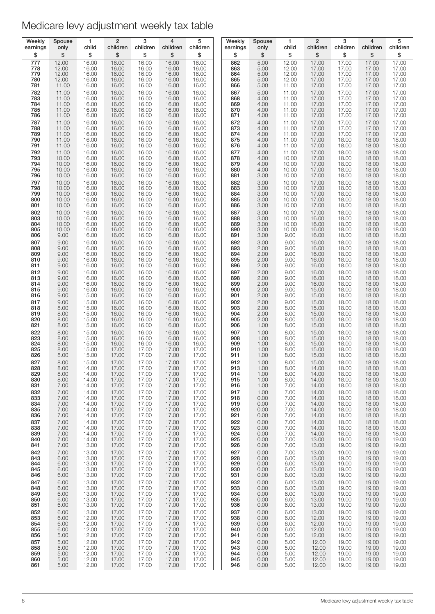| Weekly            | Spouse         | 1              | $\overline{2}$ | 3              | 4                       | 5              | Weekly            | Spouse       | $\mathbf{1}$   | $\overline{2}$ | 3                       | 4                       | 5                       |
|-------------------|----------------|----------------|----------------|----------------|-------------------------|----------------|-------------------|--------------|----------------|----------------|-------------------------|-------------------------|-------------------------|
| earnings          | only           | child          | children       | children       | children                | children       | earnings          | only         | child          | children       | children                | children                | children                |
| \$                | \$             | \$             | \$             | \$             | \$                      | \$             | \$                | \$           | \$             | \$             | \$                      | \$                      | \$                      |
| 777               | 12.00          | 16.00          | 16.00          | 16.00          | 16.00                   | 16.00          | 862               | 5.00         | 12.00          | 17.00          | 17.00                   | 17.00                   | 17.00                   |
| 778               | 12.00          | 16.00          | 16.00          | 16.00          | 16.00                   | 16.00          | 863               | 5.00         | 12.00          | 17.00          | 17.00                   | 17.00                   | 17.00                   |
| 779               | 12.00          | 16.00          | 16.00          | 16.00          | 16.00                   | 16.00          | 864               | 5.00         | 12.00          | 17.00          | 17.00                   | 17.00                   | 17.00                   |
| 780               | 12.00          | 16.00          | 16.00          | 16.00          | 16.00                   | 16.00          | 865               | 5.00         | 12.00          | 17.00          | 17.00                   | 17.00                   | 17.00                   |
| 781               | 11.00          | 16.00          | 16.00          | 16.00          | 16.00                   | 16.00          | 866               | 5.00         | 11.00          | 17.00          | 17.00                   | 17.00                   | 17.00                   |
| 782               | 11.00          | 16.00          | 16.00          | 16.00          | 16.00                   | 16.00          | 867               | 5.00         | 11.00          | 17.00          | 17.00                   | 17.00                   | 17.00                   |
| 783               | 11.00          | 16.00          | 16.00          | 16.00          | 16.00                   | 16.00          | 868               | 4.00         | 11.00          | 17.00          | 17.00                   | 17.00                   | 17.00                   |
| 784               | 11.00          | 16.00          | 16.00          | 16.00          | 16.00                   | 16.00          | 869               | 4.00         | 11.00          | 17.00          | 17.00                   | 17.00                   | 17.00                   |
| 785               | 11.00          | 16.00          | 16.00          | 16.00          | 16.00                   | 16.00          | 870               | 4.00         | 11.00          | 17.00          | 17.00                   | 17.00                   | 17.00                   |
| 786               | 11.00          | 16.00          | 16.00          | 16.00          | 16.00                   | 16.00          | 871               | 4.00         | 11.00          | 17.00          | 17.00                   | 17.00                   | 17.00                   |
| 787<br>788        | 11.00<br>11.00 | 16.00<br>16.00 | 16.00<br>16.00 | 16.00<br>16.00 | 16.00<br>16.00          | 16.00<br>16.00 | 872<br>873<br>874 | 4.00<br>4.00 | 11.00<br>11.00 | 17.00<br>17.00 | 17.00<br>17.00<br>17.00 | 17.00<br>17.00          | 17.00<br>17.00          |
| 789<br>790<br>791 | 11.00<br>11.00 | 16.00<br>16.00 | 16.00<br>16.00 | 16.00<br>16.00 | 16.00<br>16.00<br>16.00 | 16.00<br>16.00 | 875<br>876        | 4.00<br>4.00 | 11.00<br>11.00 | 17.00<br>17.00 | 18.00<br>18.00          | 17.00<br>18.00<br>18.00 | 17.00<br>18.00<br>18.00 |
| 792               | 11.00<br>11.00 | 16.00<br>16.00 | 16.00<br>16.00 | 16.00<br>16.00 | 16.00                   | 16.00<br>16.00 | 877               | 4.00<br>4.00 | 11.00<br>11.00 | 17.00<br>17.00 | 18.00                   | 18.00                   | 18.00                   |
| 793               | 10.00          | 16.00          | 16.00          | 16.00          | 16.00                   | 16.00          | 878               | 4.00         | 10.00          | 17.00          | 18.00                   | 18.00                   | 18.00                   |
| 794               | 10.00          | 16.00          | 16.00          | 16.00          | 16.00                   | 16.00          | 879               | 4.00         | 10.00          | 17.00          | 18.00                   | 18.00                   | 18.00                   |
| 795               | 10.00          | 16.00          | 16.00          | 16.00          | 16.00                   | 16.00          | 880               | 4.00         | 10.00          | 17.00          | 18.00                   | 18.00                   | 18.00                   |
| 796               | 10.00          | 16.00          | 16.00          | 16.00          | 16.00                   | 16.00          | 881               | 3.00         | 10.00          | 17.00          | 18.00                   | 18.00                   | 18.00                   |
| 797               | 10.00          | 16.00          | 16.00          | 16.00          | 16.00                   | 16.00          | 882               | 3.00         | 10.00          | 17.00          | 18.00                   | 18.00                   | 18.00                   |
| 798               | 10.00          | 16.00          | 16.00          | 16.00          | 16.00                   | 16.00          | 883               | 3.00         | 10.00          | 17.00          | 18.00                   | 18.00                   | 18.00                   |
| 799               | 10.00          | 16.00          | 16.00          | 16.00          | 16.00                   | 16.00          | 884               | 3.00         | 10.00          | 17.00          | 18.00                   | 18.00                   | 18.00                   |
| 800               | 10.00          | 16.00          | 16.00          | 16.00          | 16.00                   | 16.00          | 885               | 3.00         | 10.00          | 17.00          | 18.00                   | 18.00                   | 18.00                   |
| 801               | 10.00          | 16.00          | 16.00          | 16.00          | 16.00                   | 16.00          | 886               | 3.00         | 10.00          | 17.00          | 18.00                   | 18.00                   | 18.00                   |
| 802               | 10.00          | 16.00          | 16.00          | 16.00          | 16.00                   | 16.00          | 887               | 3.00         | 10.00          | 17.00          | 18.00                   | 18.00                   | 18.00                   |
| 803               | 10.00          | 16.00          | 16.00          | 16.00          | 16.00                   | 16.00          | 888               | 3.00         | 10.00          | 16.00          | 18.00                   | 18.00                   | 18.00                   |
| 804               | 10.00          | 16.00          | 16.00          | 16.00          | 16.00                   | 16.00          | 889               | 3.00         | 10.00          | 16.00          | 18.00                   | 18.00                   | 18.00                   |
| 805               | 10.00          | 16.00          | 16.00          | 16.00          | 16.00                   | 16.00          | 890               | 3.00         | 10.00          | 16.00          | 18.00                   | 18.00                   | 18.00                   |
| 806               | 9.00           | 16.00          | 16.00          | 16.00          | 16.00                   | 16.00          | 891               | 3.00         | 9.00           | 16.00          | 18.00                   | 18.00                   | 18.00                   |
| 807               | 9.00           | 16.00          | 16.00          | 16.00          | 16.00                   | 16.00          | 892               | 3.00         | 9.00           | 16.00          | 18.00                   | 18.00                   | 18.00                   |
| 808               | 9.00           | 16.00          | 16.00          | 16.00          | 16.00                   | 16.00          | 893               | 2.00         | 9.00           | 16.00          | 18.00                   | 18.00                   | 18.00                   |
| 809               | 9.00           | 16.00          | 16.00          | 16.00          | 16.00                   | 16.00          | 894               | 2.00         | 9.00           | 16.00          | 18.00                   | 18.00                   | 18.00                   |
| 810               | 9.00           | 16.00          | 16.00          | 16.00          | 16.00                   | 16.00          | 895               | 2.00         | 9.00           | 16.00          | 18.00                   | 18.00                   | 18.00                   |
| 811               | 9.00           | 16.00          | 16.00          | 16.00          | 16.00                   | 16.00          | 896               | 2.00         | 9.00           | 16.00          | 18.00                   | 18.00                   | 18.00                   |
| 812               | 9.00           | 16.00          | 16.00          | 16.00          | 16.00                   | 16.00          | 897               | 2.00         | 9.00           | 16.00          | 18.00                   | 18.00                   | 18.00                   |
| 813               | 9.00           | 16.00          | 16.00          | 16.00          | 16.00                   | 16.00          | 898               | 2.00         | 9.00           | 16.00          | 18.00                   | 18.00                   | 18.00                   |
| 814               | 9.00           | 16.00          | 16.00          | 16.00          | 16.00                   | 16.00          | 899               | 2.00         | 9.00           | 16.00          | 18.00                   | 18.00                   | 18.00                   |
| 815               | 9.00           | 16.00          | 16.00          | 16.00          | 16.00                   | 16.00          | 900               | 2.00         | 9.00           | 15.00          | 18.00                   | 18.00                   | 18.00                   |
| 816               | 9.00           | 15.00          | 16.00          | 16.00          | 16.00                   | 16.00          | 901               | 2.00         | 9.00           | 15.00          | 18.00                   | 18.00                   | 18.00                   |
| 817               | 9.00           | 15.00          | 16.00          | 16.00          | 16.00                   | 16.00          | 902               | 2.00         | 9.00           | 15.00          | 18.00                   | 18.00                   | 18.00                   |
| 818               | 8.00           | 15.00          | 16.00          | 16.00          | 16.00                   | 16.00          | 903               | 2.00         | 8.00           | 15.00          | 18.00                   | 18.00                   | 18.00                   |
| 819               | 8.00           | 15.00          | 16.00          | 16.00          | 16.00                   | 16.00          | 904               | 2.00         | 8.00           | 15.00          | 18.00                   | 18.00                   | 18.00                   |
| 820               | 8.00           | 15.00          | 16.00          | 16.00          | 16.00                   | 16.00          | 905               | 2.00         | 8.00           | 15.00          | 18.00                   | 18.00                   | 18.00                   |
| 821               | 8.00           | 15.00          | 16.00          | 16.00          | 16.00                   | 16.00          | 906               | 1.00         | 8.00           | 15.00          | 18.00                   | 18.00                   | 18.00                   |
| 822               | 8.00           | 15.00          | 16.00          | 16.00          | 16.00                   | 16.00          | 907               | 1.00         | 8.00           | 15.00          | 18.00                   | 18.00                   | 18.00                   |
| 823               | 8.00           | 15.00          | 16.00          | 16.00          | 16.00                   | 16.00          | 908               | 1.00         | 8.00           | 15.00          | 18.00                   | 18.00                   | 18.00                   |
| 824               | 8.00           | 15.00          | 16.00          | 16.00          | 16.00                   | 16.00          | 909               | 1.00         | 8.00           | 15.00          | 18.00                   | 18.00                   | 18.00                   |
| 825               | 8.00           | 15.00          | 17.00          | 17.00          | 17.00                   | 17.00          | 910               | 1.00         | 8.00           | 15.00          | 18.00                   | 18.00                   | 18.00                   |
| 826               | 8.00           | 15.00          | 17.00          | 17.00          | 17.00                   | 17.00          | 911               | 1.00         | 8.00           | 15.00          | 18.00                   | 18.00                   | 18.00                   |
| 827               | 8.00           | 15.00          | 17.00          | 17.00          | 17.00                   | 17.00          | 912               | 1.00         | 8.00           | 15.00          | 18.00                   | 18.00                   | 18.00                   |
| 828               | 8.00           | 14.00          | 17.00          | 17.00          | 17.00                   | 17.00          | 913               | 1.00         | 8.00           | 14.00          | 18.00                   | 18.00                   | 18.00                   |
| 829               | 8.00           | 14.00          | 17.00          | 17.00          | 17.00                   | 17.00          | 914               | 1.00         | 8.00           | 14.00          | 18.00                   | 18.00                   | 18.00                   |
| 830               | 8.00           | 14.00          | 17.00          | 17.00          | 17.00                   | 17.00          | 915               | 1.00         | 8.00           | 14.00          | 18.00                   | 18.00                   | 18.00                   |
| 831               | 7.00           | 14.00          | 17.00          | 17.00          | 17.00                   | 17.00          | 916               | 1.00         | 7.00           | 14.00          | 18.00                   | 18.00                   | 18.00                   |
| 832               | 7.00           | 14.00          | 17.00          | 17.00          | 17.00                   | 17.00          | 917               | 1.00         | 7.00           | 14.00          | 18.00                   | 18.00                   | 18.00                   |
| 833               | 7.00           | 14.00          | 17.00          | 17.00          | 17.00                   | 17.00          | 918               | 0.00         | 7.00           | 14.00          | 18.00                   | 18.00                   | 18.00                   |
| 834               | 7.00           | 14.00          | 17.00          | 17.00          | 17.00                   | 17.00          | 919               | 0.00         | 7.00           | 14.00          | 18.00                   | 18.00                   | 18.00                   |
| 835               | 7.00           | 14.00          | 17.00          | 17.00          | 17.00                   | 17.00          | 920               | 0.00         | 7.00           | 14.00          | 18.00                   | 18.00                   | 18.00                   |
| 836               | 7.00           | 14.00          | 17.00          | 17.00          | 17.00                   | 17.00          | 921               | 0.00         | 7.00           | 14.00          | 18.00                   | 18.00                   | 18.00                   |
| 837               | 7.00           | 14.00          | 17.00          | 17.00          | 17.00                   | 17.00          | 922               | 0.00         | 7.00           | 14.00          | 18.00                   | 18.00                   | 18.00                   |
| 838               | 7.00           | 14.00          | 17.00          | 17.00          | 17.00                   | 17.00          | 923               | 0.00         | 7.00           | 14.00          | 18.00                   | 18.00                   | 18.00                   |
| 839               | 7.00           | 14.00          | 17.00          | 17.00          | 17.00                   | 17.00          | 924               | 0.00         | 7.00           | 14.00          | 18.00                   | 18.00                   | 18.00                   |
| 840               | 7.00           | 14.00          | 17.00          | 17.00          | 17.00                   | 17.00          | 925               | 0.00         | 7.00           | 13.00          | 19.00                   | 19.00                   | 19.00                   |
| 841               | 7.00           | 13.00          | 17.00          | 17.00          | 17.00                   | 17.00          | 926               | 0.00         | 7.00           | 13.00          | 19.00                   | 19.00                   | 19.00                   |
| 842               | 7.00           | 13.00          | 17.00          | 17.00          | 17.00                   | 17.00          | 927               | 0.00         | 7.00           | 13.00          | 19.00                   | 19.00                   | 19.00                   |
| 843               | 6.00           | 13.00          | 17.00          | 17.00          | 17.00                   | 17.00          | 928               | 0.00         | 6.00           | 13.00          | 19.00                   | 19.00                   | 19.00                   |
| 844               | 6.00           | 13.00          | 17.00          | 17.00          | 17.00                   | 17.00          | 929               | 0.00         | 6.00           | 13.00          | 19.00                   | 19.00                   | 19.00                   |
| 845               | 6.00           | 13.00          | 17.00          | 17.00          | 17.00                   | 17.00          | 930               | 0.00         | 6.00           | 13.00          | 19.00                   | 19.00                   | 19.00                   |
| 846               | 6.00           | 13.00          | 17.00          | 17.00          | 17.00                   | 17.00          | 931               | 0.00         | 6.00           | 13.00          | 19.00                   | 19.00                   | 19.00                   |
| 847               | 6.00           | 13.00          | 17.00          | 17.00          | 17.00                   | 17.00          | 932               | 0.00         | 6.00           | 13.00          | 19.00                   | 19.00                   | 19.00                   |
| 848               | 6.00           | 13.00          | 17.00          | 17.00          | 17.00                   | 17.00          | 933               | 0.00         | 6.00           | 13.00          | 19.00                   | 19.00                   | 19.00                   |
| 849               | 6.00           | 13.00          | 17.00          | 17.00          | 17.00                   | 17.00          | 934               | 0.00         | 6.00           | 13.00          | 19.00                   | 19.00                   | 19.00                   |
| 850               | 6.00           | 13.00          | 17.00          | 17.00          | 17.00                   | 17.00          | 935               | 0.00         | 6.00           | 13.00          | 19.00                   | 19.00                   | 19.00                   |
| 851               | 6.00           | 13.00          | 17.00          | 17.00          | 17.00                   | 17.00          | 936               | 0.00         | 6.00           | 13.00          | 19.00                   | 19.00                   | 19.00                   |
| 852               | 6.00           | 13.00          | 17.00          | 17.00          | 17.00                   | 17.00          | 937               | 0.00         | 6.00           | 13.00          | 19.00                   | 19.00                   | 19.00                   |
| 853               | 6.00           | 12.00          | 17.00          | 17.00          | 17.00                   | 17.00          | 938               | 0.00         | 6.00           | 12.00          | 19.00                   | 19.00                   | 19.00                   |
| 854               | 6.00           | 12.00          | 17.00          | 17.00          | 17.00                   | 17.00          | 939               | 0.00         | 6.00           | 12.00          | 19.00                   | 19.00                   | 19.00                   |
| 855               | 6.00           | 12.00          | 17.00          | 17.00          | 17.00                   | 17.00          | 940               | 0.00         | 6.00           | 12.00          | 19.00                   | 19.00                   | 19.00                   |
| 856               | 5.00           | 12.00          | 17.00          | 17.00          | 17.00                   | 17.00          | 941               | 0.00         | 5.00           | 12.00          | 19.00                   | 19.00                   | 19.00                   |
| 857               | 5.00           | 12.00          | 17.00          | 17.00          | 17.00                   | 17.00          | 942               | 0.00         | 5.00           | 12.00          | 19.00                   | 19.00                   | 19.00                   |
| 858               | 5.00           | 12.00          | 17.00          | 17.00          | 17.00                   | 17.00          | 943               | 0.00         | 5.00           | 12.00          | 19.00                   | 19.00                   | 19.00                   |
| 859               | 5.00           | 12.00          | 17.00          | 17.00          | 17.00                   | 17.00          | 944               | 0.00         | 5.00           | 12.00          | 19.00                   | 19.00                   | 19.00                   |
| 860               | 5.00           | 12.00          | 17.00<br>17.00 | 17.00          | 17.00                   | 17.00<br>17.00 | 945               | 0.00         | 5.00           | 12.00          | 19.00                   | 19.00                   | 19.00                   |
| 861               | 5.00           | 12.00          |                | 17.00          | 17.00                   |                | 946               | 0.00         | 5.00           | 12.00          | 19.00                   | 19.00                   | 19.00                   |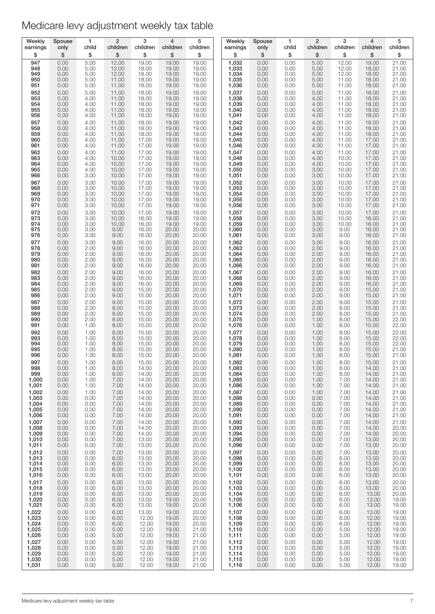| Weekly                                             | Spouse                                       | 1                                            | $\overline{2}$                                     | 3                                                  | $\overline{4}$                                     | 5                                                  | Weekly                                                 | Spouse                                       | $\mathbf{1}$                                 | $\overline{2}$                               | 3                                                  | 4                                                  | 5                                                         |
|----------------------------------------------------|----------------------------------------------|----------------------------------------------|----------------------------------------------------|----------------------------------------------------|----------------------------------------------------|----------------------------------------------------|--------------------------------------------------------|----------------------------------------------|----------------------------------------------|----------------------------------------------|----------------------------------------------------|----------------------------------------------------|-----------------------------------------------------------|
| earnings                                           | only                                         | child                                        | children                                           | children                                           | children                                           | children                                           | earnings                                               | only                                         | child                                        | children                                     | children                                           | children                                           | children                                                  |
| \$                                                 | \$                                           | \$                                           | \$                                                 | \$                                                 | \$                                                 | \$                                                 | \$                                                     | \$                                           | \$                                           | \$                                           | \$                                                 | \$                                                 | \$                                                        |
| 947                                                | 0.00                                         | 5.00                                         | 12.00                                              | 19.00                                              | 19.00                                              | 19.00                                              | 1,032                                                  | 0.00                                         | 0.00                                         | 5.00                                         | 12.00                                              | 19.00                                              | 21.00                                                     |
| 948                                                | 0.00                                         | 5.00                                         | 12.00                                              | 18.00                                              | 19.00                                              | 19.00                                              | 1,033                                                  | 0.00                                         | 0.00                                         | 5.00                                         | 12.00                                              | 18.00                                              | 21.00                                                     |
| 949                                                | 0.00                                         | 5.00                                         | 12.00                                              | 18.00                                              | 19.00                                              | 19.00                                              | 1,034                                                  | 0.00                                         | 0.00                                         | 5.00                                         | 12.00                                              | 18.00                                              | 21.00                                                     |
| 950                                                | 0.00                                         | 5.00                                         | 11.00                                              | 18.00                                              | 19.00                                              | 19.00                                              | 1,035                                                  | 0.00                                         | 0.00                                         | 5.00                                         | 11.00                                              | 18.00                                              | 21.00                                                     |
| 951                                                | 0.00                                         | 5.00                                         | 11.00                                              | 18.00                                              | 19.00                                              | 19.00                                              | 1,036                                                  | 0.00                                         | 0.00                                         | 5.00                                         | 11.00                                              | 18.00                                              | 21.00                                                     |
| 952<br>953<br>954<br>955<br>956<br>957             | 0.00<br>0.00<br>0.00<br>0.00<br>0.00<br>0.00 | 5.00<br>4.00<br>4.00<br>4.00<br>4.00<br>4.00 | 11.00<br>11.00<br>11.00<br>11.00<br>11.00<br>11.00 | 18.00<br>18.00<br>18.00<br>18.00<br>18.00<br>18.00 | 19.00<br>19.00<br>19.00<br>19.00<br>19.00<br>19.00 | 19.00<br>19.00<br>19.00<br>19.00<br>19.00<br>19.00 | 1,037<br>1,038<br>1,039<br>1,040<br>1,041<br>1,042     | 0.00<br>0.00<br>0.00<br>0.00<br>0.00<br>0.00 | 0.00<br>0.00<br>0.00<br>0.00<br>0.00<br>0.00 | 5.00<br>4.00<br>4.00<br>4.00<br>4.00<br>4.00 | 11.00<br>11.00<br>11.00<br>11.00<br>11.00<br>11.00 | 18.00<br>18.00<br>18.00<br>18.00<br>18.00<br>18.00 | 21.00<br>21.00<br>21.00<br>21.00<br>21.00<br>21.00        |
| 958                                                | 0.00                                         | 4.00                                         | 11.00                                              | 18.00                                              | 19.00                                              | 19.00                                              | 1,043                                                  | 0.00                                         | 0.00                                         | 4.00                                         | 11.00                                              | 18.00                                              | 21.00                                                     |
| 959                                                | 0.00                                         | 4.00                                         | 11.00                                              | 18.00                                              | 19.00                                              | 19.00                                              | 1,044                                                  | 0.00                                         | 0.00                                         | 4.00                                         | 11.00                                              | 18.00                                              | 21.00                                                     |
| 960                                                | 0.00                                         | 4.00                                         | 11.00                                              | 17.00                                              | 19.00                                              | 19.00                                              | 1,045                                                  | 0.00                                         | 0.00                                         | 4.00                                         | 11.00                                              | 17.00                                              | 21.00                                                     |
| 961                                                | 0.00                                         | 4.00                                         | 11.00                                              | 17.00                                              | 19.00                                              | 19.00                                              | 1,046                                                  | 0.00                                         | 0.00                                         | 4.00                                         | 11.00                                              | 17.00                                              | 21.00                                                     |
| 962                                                | 0.00                                         | 4.00                                         | 11.00                                              | 17.00                                              | 19.00                                              | 19.00                                              | 1,047                                                  | 0.00                                         | 0.00                                         | 4.00                                         | 11.00                                              | 17.00                                              | 21.00                                                     |
| 963                                                | 0.00                                         | 4.00                                         | 10.00                                              | 17.00                                              | 19.00                                              | 19.00                                              | 1,048                                                  | 0.00                                         | 0.00                                         | 4.00                                         | 10.00                                              | 17.00                                              | 21.00                                                     |
| 964                                                | 0.00                                         | 4.00                                         | 10.00                                              | 17.00                                              | 19.00                                              | 19.00                                              | 1,049                                                  | 0.00                                         | 0.00                                         | 4.00                                         | 10.00                                              | 17.00                                              | 21.00                                                     |
| 965                                                | 0.00                                         | 4.00                                         | 10.00                                              | 17.00                                              | 19.00                                              | 19.00                                              | 1,050                                                  | 0.00                                         | 0.00                                         | 3.00                                         | 10.00                                              | 17.00                                              | 21.00                                                     |
| 966                                                | 0.00                                         | 3.00                                         | 10.00                                              | 17.00                                              | 19.00                                              | 19.00                                              | 1,051                                                  | 0.00                                         | 0.00                                         | 3.00                                         | 10.00                                              | 17.00                                              | 21.00                                                     |
| 967                                                | 0.00                                         | 3.00                                         | 10.00                                              | 17.00                                              | 19.00                                              | 19.00                                              | 1,052                                                  | 0.00                                         | 0.00                                         | 3.00                                         | 10.00                                              | 17.00                                              | 21.00                                                     |
| 968                                                | 0.00                                         | 3.00                                         | 10.00                                              | 17.00                                              | 19.00                                              | 19.00                                              | 1,053                                                  | 0.00                                         | 0.00                                         | 3.00                                         | 10.00                                              | 17.00                                              | 21.00                                                     |
| 969                                                | 0.00                                         | 3.00                                         | 10.00                                              | 17.00                                              | 19.00                                              | 19.00                                              | 1,054                                                  | 0.00                                         | 0.00                                         | 3.00                                         | 10.00                                              | 17.00                                              | 21.00                                                     |
| 970                                                | 0.00                                         | 3.00                                         | 10.00                                              | 17.00                                              | 19.00                                              | 19.00                                              | 1,055                                                  | 0.00                                         | 0.00                                         | 3.00                                         | 10.00                                              | 17.00                                              | 21.00                                                     |
| 971                                                | 0.00                                         | 3.00                                         | 10.00                                              | 17.00                                              | 19.00                                              | 19.00                                              | 1,056                                                  | 0.00                                         | 0.00                                         | 3.00                                         | 10.00                                              | 17.00                                              | 21.00                                                     |
| 972                                                | 0.00                                         | 3.00                                         | 10.00                                              | 17.00                                              | 19.00                                              | 19.00                                              | 1,057                                                  | 0.00                                         | 0.00                                         | 3.00                                         | 10.00                                              | 17.00                                              | 21.00                                                     |
| 973<br>974<br>975<br>976<br>977                    | 0.00<br>0.00<br>0.00<br>0.00<br>0.00         | 3.00<br>3.00<br>3.00<br>3.00<br>3.00         | 10.00<br>10.00<br>9.00<br>9.00<br>9.00             | 16.00<br>16.00<br>16.00<br>16.00<br>16.00          | 19.00<br>19.00<br>20.00<br>20.00<br>20.00          | 19.00<br>19.00<br>20.00<br>20.00<br>20.00          | 1,058<br>$1,059$<br>$1,060$<br>1,061                   | 0.00<br>0.00<br>0.00<br>0.00<br>0.00         | 0.00<br>0.00<br>0.00<br>0.00<br>0.00         | 3.00<br>3.00<br>3.00<br>3.00<br>3.00         | 10.00<br>10.00<br>9.00<br>9.00<br>9.00             | 16.00<br>16.00<br>16.00<br>16.00<br>16.00          | 21.00<br>21.00<br>21.00<br>21.00<br>21.00                 |
| 978                                                | 0.00                                         | 2.00                                         | 9.00                                               | 16.00                                              | 20.00                                              | 20.00                                              | 1,062<br>1,063                                         | 0.00                                         | 0.00                                         | 2.00                                         | 9.00                                               | 16.00                                              | 21.00                                                     |
| 979                                                | 0.00                                         | 2.00                                         | 9.00                                               | 16.00                                              | 20.00                                              | 20.00                                              | 1,064                                                  | 0.00                                         | 0.00                                         | 2.00                                         | 9.00                                               | 16.00                                              | 21.00                                                     |
| 980                                                | 0.00                                         | 2.00                                         | 9.00                                               | 16.00                                              | 20.00                                              | 20.00                                              | 1,065                                                  | 0.00                                         | 0.00                                         | 2.00                                         | 9.00                                               | 16.00                                              | 21.00                                                     |
| 981                                                | 0.00                                         | 2.00                                         | 9.00                                               | 16.00                                              | 20.00                                              | 20.00                                              | 1,066                                                  | 0.00                                         | 0.00                                         | 2.00                                         | 9.00                                               | 16.00                                              | 21.00                                                     |
| 982                                                | 0.00                                         | 2.00                                         | 9.00                                               | 16.00                                              | 20.00                                              | 20.00                                              | 1,067                                                  | 0.00                                         | 0.00                                         | 2.00                                         | 9.00                                               | 16.00                                              | 21.00                                                     |
| 983<br>984<br>985<br>986<br>987<br>988             | 0.00<br>0.00<br>0.00<br>0.00<br>0.00         | 2.00<br>2.00<br>2.00<br>2.00<br>2.00<br>2.00 | 9.00<br>9.00<br>9.00<br>9.00<br>9.00               | 16.00<br>16.00<br>15.00<br>15.00<br>15.00<br>15.00 | 20.00<br>20.00<br>20.00<br>20.00<br>20.00<br>20.00 | 20.00<br>20.00<br>20.00<br>20.00<br>20.00          | 1,068<br>1,069<br>1,070<br>1,071<br>1,072<br>1,073     | 0.00<br>0.00<br>0.00<br>0.00<br>0.00         | 0.00<br>0.00<br>0.00<br>0.00<br>0.00<br>0.00 | 2.00<br>2.00<br>2.00<br>2.00<br>2.00         | 9.00<br>9.00<br>9.00<br>9.00<br>9.00<br>8.00       | 16.00<br>16.00<br>15.00<br>15.00<br>15.00          | 21.00<br>21.00<br>21.00<br>21.00<br>21.00<br>21.00        |
| 989<br>990<br>991<br>992<br>993                    | 0.00<br>0.00<br>0.00<br>0.00<br>0.00<br>0.00 | 2.00<br>2.00<br>1.00<br>1.00<br>1.00         | 8.00<br>8.00<br>8.00<br>8.00<br>8.00<br>8.00       | 15.00<br>15.00<br>15.00<br>15.00<br>15.00          | 20.00<br>20.00<br>20.00<br>20.00<br>20.00          | 20.00<br>20.00<br>20.00<br>20.00<br>20.00<br>20.00 | $1,074$<br>$1,075$<br>1,076<br>1,077<br>1,078          | 0.00<br>0.00<br>0.00<br>0.00<br>0.00<br>0.00 | 0.00<br>0.00<br>0.00<br>0.00<br>0.00         | 2.00<br>2.00<br>1.00<br>1.00<br>1.00<br>1.00 | 8.00<br>8.00<br>8.00<br>8.00<br>8.00               | 15.00<br>15.00<br>15.00<br>15.00<br>15.00<br>15.00 | 21.00<br>22.00<br>22.00<br>22.00<br>22.00                 |
| 994                                                | 0.00                                         | 1.00                                         | 8.00                                               | 15.00                                              | 20.00                                              | 20.00                                              | 1,079                                                  | 0.00                                         | 0.00                                         | 1.00                                         | 8.00                                               | 15.00                                              | 22.00                                                     |
| 995                                                | 0.00                                         | 1.00                                         | 8.00                                               | 15.00                                              | 20.00                                              | 20.00                                              | 1,080                                                  | 0.00                                         | 0.00                                         | 1.00                                         | 8.00                                               | 15.00                                              | 21.00                                                     |
| 996                                                | 0.00                                         | 1.00                                         | 8.00                                               | 15.00                                              | 20.00                                              | 20.00                                              | 1,081                                                  | 0.00                                         | 0.00                                         | 1.00                                         | 8.00                                               | 15.00                                              | 21.00                                                     |
| 997                                                | 0.00                                         | 1.00                                         | 8.00                                               | 15.00                                              | 20.00                                              | 20.00                                              | 1,082                                                  | 0.00                                         | 0.00                                         | 1.00                                         | 8.00                                               | 15.00                                              | 21.00                                                     |
| 998                                                | 0.00                                         | 1.00                                         | 8.00                                               | 14.00                                              | 20.00                                              | 20.00                                              | 1,083                                                  | 0.00                                         | 0.00                                         | 1.00                                         | 8.00                                               | 14.00                                              | 21.00                                                     |
| 999                                                | 0.00                                         | 1.00                                         | 8.00                                               | 14.00                                              | 20.00                                              | 20.00                                              | 1,084                                                  | 0.00                                         | 0.00                                         | 1.00                                         | 8.00                                               | 14.00                                              | 21.00                                                     |
| 1,000                                              | 0.00                                         | 1.00                                         | 7.00                                               | 14.00                                              | 20.00                                              | 20.00                                              | 1,085                                                  | 0.00                                         | 0.00                                         | 1.00                                         | 7.00                                               | 14.00                                              | 21.00                                                     |
| 1,001                                              | 0.00                                         | 1.00                                         | 7.00                                               | 14.00                                              | 20.00                                              | 20.00                                              | 1,086                                                  | 0.00                                         | 0.00                                         | 1.00                                         | 7.00                                               | 14.00                                              | 21.00                                                     |
| 1,002                                              | 0.00                                         | 1.00                                         | 7.00                                               | 14.00                                              | 20.00                                              | 20.00                                              | 1,087                                                  | 0.00                                         | 0.00                                         | 1.00                                         | 7.00                                               | 14.00                                              | 21.00                                                     |
| 1,003                                              | 0.00                                         | 0.00                                         | 7.00                                               | 14.00                                              | 20.00                                              | 20.00                                              | 1,088                                                  | 0.00                                         | 0.00                                         | 0.00                                         | 7.00                                               | 14.00                                              | 21.00                                                     |
| 1,004<br>1,005<br>1,006<br>1,007<br>1,008<br>1,009 | 0.00<br>0.00<br>0.00<br>0.00<br>0.00<br>0.00 | 0.00<br>0.00<br>0.00<br>0.00<br>0.00<br>0.00 | 7.00<br>7.00<br>7.00<br>7.00<br>7.00<br>7.00       | 14.00<br>14.00<br>14.00<br>14.00<br>14.00<br>14.00 | 20.00<br>20.00<br>20.00<br>20.00<br>20.00<br>20.00 | 20.00<br>20.00<br>20.00<br>20.00<br>20.00<br>20.00 | 1,089<br>1,090<br>1,091<br>1,092<br>$1,093$<br>$1,094$ | 0.00<br>0.00<br>0.00<br>0.00<br>0.00<br>0.00 | 0.00<br>0.00<br>0.00<br>0.00<br>0.00<br>0.00 | 0.00<br>0.00<br>0.00<br>0.00<br>0.00<br>0.00 | 7.00<br>7.00<br>7.00<br>7.00<br>7.00<br>7.00       | 14.00<br>14.00<br>14.00<br>14.00<br>14.00<br>14.00 | 21.00<br>21.00<br>21.00<br>21.00<br>$\frac{20.00}{20.00}$ |
| 1,010                                              | 0.00                                         | 0.00                                         | 7.00                                               | 13.00                                              | 20.00                                              | 20.00                                              | 1,095                                                  | 0.00                                         | 0.00                                         | 0.00                                         | 7.00                                               | 13.00                                              | 20.00                                                     |
| 1,011                                              | 0.00                                         | 0.00                                         | 7.00                                               | 13.00                                              | 20.00                                              | 20.00                                              | 1,096                                                  | 0.00                                         | 0.00                                         | 0.00                                         | 7.00                                               | 13.00                                              | 20.00                                                     |
| 1,012                                              | 0.00                                         | 0.00                                         | 7.00                                               | 13.00                                              | 20.00                                              | 20.00                                              | 1,097                                                  | 0.00                                         | 0.00                                         | 0.00                                         | 7.00                                               | 13.00                                              | 20.00                                                     |
| 1,013                                              | 0.00                                         | 0.00                                         | 6.00                                               | 13.00                                              | 20.00                                              | 20.00                                              | 1,098                                                  | 0.00                                         | 0.00                                         | 0.00                                         | 6.00                                               | 13.00                                              | 20.00                                                     |
| 1,014                                              | 0.00                                         | 0.00                                         | 6.00                                               | 13.00                                              | 20.00                                              | 20.00                                              | 1,099                                                  | 0.00                                         | 0.00                                         | 0.00                                         | 6.00                                               | 13.00                                              | 20.00                                                     |
| 1,015                                              | 0.00                                         | 0.00                                         | 6.00                                               | 13.00                                              | 20.00                                              | 20.00                                              | 1,100                                                  | 0.00                                         | 0.00                                         | 0.00                                         | 6.00                                               | 13.00                                              | 20.00                                                     |
| 1,016                                              | 0.00                                         | 0.00                                         | 6.00                                               | 13.00                                              | 20.00                                              | 20.00                                              | 1,101                                                  | 0.00                                         | 0.00                                         | 0.00                                         | 6.00                                               | 13.00                                              | 20.00                                                     |
| 1,017                                              | 0.00                                         | 0.00                                         | 6.00                                               | 13.00                                              | 20.00                                              | 20.00                                              | 1,102                                                  | 0.00                                         | 0.00                                         | 0.00                                         | 6.00                                               | 13.00                                              | 20.00                                                     |
| 1,018                                              | 0.00                                         | 0.00                                         | 6.00                                               | 13.00                                              | 20.00                                              | 20.00                                              | 1,103                                                  | 0.00                                         | 0.00                                         | 0.00                                         | 6.00                                               | 13.00                                              | 20.00                                                     |
| 1,019                                              | 0.00                                         | 0.00                                         | 6.00                                               | 13.00                                              | 20.00                                              | 20.00                                              | 1,104                                                  | 0.00                                         | 0.00                                         | 0.00                                         | 6.00                                               | 13.00                                              | 20.00                                                     |
| 1,020                                              | 0.00                                         | 0.00                                         | 6.00                                               | 13.00                                              | 19.00                                              | 20.00                                              | 1,105                                                  | 0.00                                         | 0.00                                         | 0.00                                         | 6.00                                               | 13.00                                              | 19.00                                                     |
| 1,021                                              | 0.00                                         | 0.00                                         | 6.00                                               | 13.00                                              | 19.00                                              | 20.00                                              | 1,106                                                  | 0.00                                         | 0.00                                         | 0.00                                         | 6.00                                               | 13.00                                              | 19.00                                                     |
| 1,022                                              | 0.00                                         | 0.00                                         | 6.00                                               | 13.00                                              | 19.00                                              | 20.00                                              | 1,107                                                  | 0.00                                         | 0.00                                         | 0.00                                         | 6.00                                               | 13.00                                              | 19.00                                                     |
| 1,023                                              | 0.00                                         | 0.00                                         | 6.00                                               | 12.00                                              | 19.00                                              | 20.00                                              | 1,108                                                  | 0.00                                         | 0.00                                         | 0.00                                         | 6.00                                               | 12.00                                              | 19.00                                                     |
| 1,024                                              | 0.00                                         | 0.00                                         | 6.00                                               | 12.00                                              | 19.00                                              | 20.00                                              | 1,109                                                  | 0.00                                         | 0.00                                         | 0.00                                         | 6.00                                               | 12.00                                              | 19.00                                                     |
| 1,025                                              | 0.00                                         | 0.00                                         | 5.00                                               | 12.00                                              | 19.00                                              | 21.00                                              | 1,110                                                  | 0.00                                         | 0.00                                         | 0.00                                         | 5.00                                               | 12.00                                              | 19.00                                                     |
| 1,026                                              | 0.00                                         | 0.00                                         | 5.00                                               | 12.00                                              | 19.00                                              | 21.00                                              | 1,111                                                  | 0.00                                         | 0.00                                         | 0.00                                         | 5.00                                               | 12.00                                              | 19.00                                                     |
| 1,027                                              | 0.00                                         | 0.00                                         | 5.00                                               | 12.00                                              | 19.00                                              | 21.00                                              | 1,112                                                  | 0.00                                         | 0.00                                         | 0.00                                         | 5.00                                               | 12.00                                              | 19.00                                                     |
| 1,028                                              | 0.00                                         | 0.00                                         | 5.00                                               | 12.00                                              | 19.00                                              | 21.00                                              | 1,113                                                  | 0.00                                         | 0.00                                         | 0.00                                         | 5.00                                               | 12.00                                              | 19.00                                                     |
| 1,029                                              | 0.00                                         | 0.00                                         | 5.00                                               | 12.00                                              | 19.00                                              | 21.00                                              | 1,114                                                  | 0.00                                         | 0.00                                         | 0.00                                         | 5.00                                               | 12.00                                              | 19.00                                                     |
| 1,030                                              | 0.00                                         | 0.00                                         | 5.00                                               | 12.00                                              | 19.00                                              | 21.00                                              | 1,115                                                  | 0.00                                         | 0.00                                         | 0.00                                         | 5.00                                               | 12.00                                              | 19.00                                                     |
| 1,031                                              | 0.00                                         | 0.00                                         | 5.00                                               | 12.00                                              | 19.00                                              | 21.00                                              | 1,116                                                  | 0.00                                         | 0.00                                         | 0.00                                         | 5.00                                               | 12.00                                              | 19.00                                                     |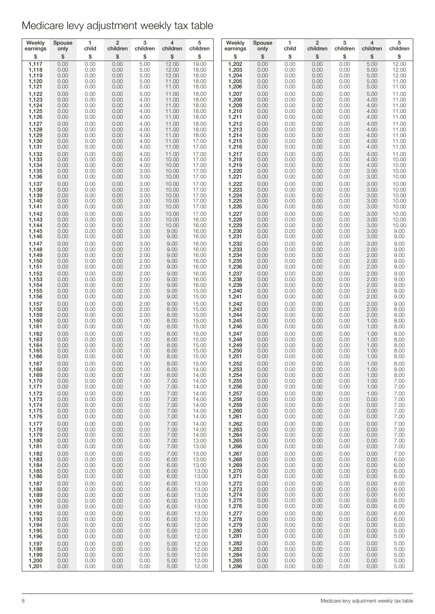| Weekly         | Spouse       | 1            | $\overline{2}$ | 3            | 4            | 5              | Weekly             | Spouse       | 1            | $\overline{2}$ | 3            | $\overline{4}$ | 5            |
|----------------|--------------|--------------|----------------|--------------|--------------|----------------|--------------------|--------------|--------------|----------------|--------------|----------------|--------------|
| earnings       | only         | child        | children       | children     | children     | children       | earnings           | only         | child        | children       | children     | children       | children     |
| \$             | \$           | \$           | \$             | \$           | \$           | \$             | \$                 | \$           | \$           | \$             | \$           | \$             | \$           |
| 1,117          | 0.00         | 0.00         | 0.00           | 5.00         | 12.00        | 19.00          | 1,202              | 0.00         | 0.00         | 0.00           | 0.00         | 5.00           | 12.00        |
| 1,118          | 0.00         | 0.00         | 0.00           | 5.00         | 12.00        | 18.00          | 1,203              | 0.00         | 0.00         | 0.00           | 0.00         | 5.00           | 12.00        |
| 1,119          | 0.00         | 0.00         | 0.00           | 5.00         | 12.00        | 18.00          | 1,204              | 0.00         | 0.00         | 0.00           | 0.00         | 5.00           | 12.00        |
| 1,120          | 0.00         | 0.00         | 0.00           | 5.00         | 11.00        | 18.00          | 1,205              | 0.00         | 0.00         | 0.00           | 0.00         | 5.00           | 11.00        |
| 1,121          | 0.00         | 0.00         | 0.00           | 5.00         | 11.00        | 18.00          | 1,206              | 0.00         | 0.00         | 0.00           | 0.00         | 5.00           | 11.00        |
| 1,122          | 0.00         | 0.00         | 0.00           | 5.00         | 11.00        | 18.00          | 1,207              | 0.00         | 0.00         | 0.00           | 0.00         | 5.00           | 11.00        |
| 1,123          | 0.00         | 0.00         | 0.00           | 4.00         | 11.00        | 18.00          | 1,208              | 0.00         | 0.00         | 0.00           | 0.00         | 4.00           | 11.00        |
| 1,124          | 0.00         | 0.00         | 0.00           | 4.00         | 11.00        | 18.00          | 1,209              | 0.00         | 0.00         | 0.00           | 0.00         | 4.00           | 11.00        |
| 1,125          | 0.00         | 0.00         | 0.00           | 4.00         | 11.00        | 18.00          | 1,210              | 0.00         | 0.00         | 0.00           | 0.00         | 4.00           | 11.00        |
| 1,126          | 0.00         | 0.00         | 0.00           | 4.00         | 11.00        | 18.00          | 1,211              | 0.00         | 0.00         | 0.00           | 0.00         | 4.00           | 11.00        |
| 1,127          | 0.00         | 0.00         | 0.00           | 4.00         | 11.00        | 18.00          | 1,212              | 0.00         | 0.00         | 0.00           | 0.00         | 4.00           | 11.00        |
| 1,128          | 0.00         | 0.00         | 0.00           | 4.00         | 11.00        | 18.00          | 1,213              | 0.00         | 0.00         | 0.00           | 0.00         | 4.00           | 11.00        |
| 1,129          | 0.00         | 0.00         | 0.00           | 4.00         | 11.00        | 18.00          | 1,214              | 0.00         | 0.00         | 0.00           | 0.00         | 4.00           | 11.00        |
| 1,130          | 0.00         | 0.00         | 0.00           | 4.00         | 11.00        | 17.00          | 1,215              | 0.00         | 0.00         | 0.00           | 0.00         | 4.00           | 11.00        |
| 1,131          | 0.00         | 0.00         | 0.00           | 4.00         | 11.00        | 17.00          | 1,216              | 0.00         | 0.00         | 0.00           | 0.00         | 4.00           | 11.00        |
| 1,132          | 0.00         | 0.00         | 0.00           | 4.00         | 11.00        | 17.00          | 1,217              | 0.00         | 0.00         | 0.00           | 0.00         | 4.00           | 11.00        |
| 1,133          | 0.00         | 0.00         | 0.00           | 4.00         | 10.00        | 17.00          | 1,218              | 0.00         | 0.00         | 0.00           | 0.00         | 4.00           | 10.00        |
| 1,134          | 0.00         | 0.00         | 0.00           | 4.00         | 10.00        | 17.00          | 1,219              | 0.00         | 0.00         | 0.00           | 0.00         | 4.00           | 10.00        |
| 1,135          | 0.00         | 0.00         | 0.00           | 3.00         | 10.00        | 17.00          | 1,220              | 0.00         | 0.00         | 0.00           | 0.00         | 3.00           | 10.00        |
| 1,136          | 0.00         | 0.00         | 0.00           | 3.00         | 10.00        | 17.00          | 1,221              | 0.00         | 0.00         | 0.00           | 0.00         | 3.00           | 10.00        |
| 1,137          | 0.00         | 0.00         | 0.00           | 3.00         | 10.00        | 17.00          | 1,222              | 0.00         | 0.00         | 0.00           | 0.00         | 3.00           | 10.00        |
| 1,138          | 0.00         | 0.00         | 0.00           | 3.00         | 10.00        | 17.00          | 1,223              | 0.00         | 0.00         | 0.00           | 0.00         | 3.00           | 10.00        |
| 1,139          | 0.00         | 0.00         | 0.00           | 3.00         | 10.00        | 17.00          | 1,224              | 0.00         | 0.00         | 0.00           | 0.00         | 3.00           | 10.00        |
| 1,140          | 0.00         | 0.00         | 0.00           | 3.00         | 10.00        | 17.00          | 1,225              | 0.00         | 0.00         | 0.00           | 0.00         | 3.00           | 10.00        |
| 1,141          | 0.00         | 0.00         | 0.00           | 3.00         | 10.00        | 17.00          | 1,226              | 0.00         | 0.00         | 0.00           | 0.00         | 3.00           | 10.00        |
| 1,142          | 0.00         | 0.00         | 0.00           | 3.00         | 10.00        | 17.00          | 1,227              | 0.00         | 0.00         | 0.00           | 0.00         | 3.00           | 10.00        |
| 1,143          | 0.00         | 0.00         | 0.00           | 3.00         | 10.00        | 16.00          | 1,228              | 0.00         | 0.00         | 0.00           | 0.00         | 3.00           | 10.00        |
| 1,144          | 0.00         | 0.00         | 0.00           | 3.00         | 10.00        | 16.00          | 1,229              | 0.00         | 0.00         | 0.00           | 0.00         | 3.00           | 10.00        |
| 1,145          | 0.00         | 0.00         | 0.00           | 3.00         | 9.00         | 16.00          | 1,230              | 0.00         | 0.00         | 0.00           | 0.00         | 3.00           | 9.00         |
| 1,146          | 0.00         | 0.00         | 0.00           | 3.00         | 9.00         | 16.00          | 1,231              | 0.00         | 0.00         | 0.00           | 0.00         | 3.00           | 9.00         |
| 1,147          | 0.00         | 0.00         | 0.00           | 3.00         | 9.00         | 16.00          | 1,232              | 0.00         | 0.00         | 0.00           | 0.00         | 3.00           | 9.00         |
| 1,148          | 0.00         | 0.00         | 0.00           | 2.00         | 9.00         | 16.00          | 1,233              | 0.00         | 0.00         | 0.00           | 0.00         | 2.00           | 9.00         |
| 1,149          | 0.00         | 0.00         | 0.00           | 2.00         | 9.00         | 16.00          | 1,234              | 0.00         | 0.00         | 0.00           | 0.00         | 2.00           | 9.00         |
| 1,150          | 0.00         | 0.00         | 0.00           | 2.00         | 9.00         | 16.00          | 1,235              | 0.00         | 0.00         | 0.00           | 0.00         | 2.00           | 9.00         |
| 1,151          | 0.00         | 0.00         | 0.00           | 2.00         | 9.00         | 16.00          | 1,236              | 0.00         | 0.00         | 0.00           | 0.00         | 2.00           | 9.00         |
| 1,152          | 0.00         | 0.00         | 0.00           | 2.00         | 9.00         | 16.00          | 1,237              | 0.00         | 0.00         | 0.00           | 0.00         | 2.00           | 9.00         |
| 1,153          | 0.00         | 0.00         | 0.00           | 2.00         | 9.00         | 16.00          | 1,238              | 0.00         | 0.00         | 0.00           | 0.00         | 2.00           | 9.00         |
| 1,154          | 0.00         | 0.00         | 0.00           | 2.00         | 9.00         | 16.00          | 1,239              | 0.00         | 0.00         | 0.00           | 0.00         | 2.00           | 9.00         |
| 1,155          | 0.00         | 0.00         | 0.00           | 2.00         | 9.00         | 15.00          | 1,240              | 0.00         | 0.00         | 0.00           | 0.00         | 2.00           | 9.00         |
| 1,156          | 0.00         | 0.00         | 0.00           | 2.00         | 9.00         | 15.00          | 1,241              | 0.00         | 0.00         | 0.00           | 0.00         | 2.00           | 9.00         |
| 1,157          | 0.00         | 0.00         | 0.00           | 2.00         | 9.00         | 15.00          | 1,242              | 0.00         | 0.00         | 0.00           | 0.00         | 2.00           | 9.00         |
| 1,158          | 0.00         | 0.00         | 0.00           | 2.00         | 8.00         | 15.00          | 1,243              | 0.00         | 0.00         | 0.00           | 0.00         | 2.00           | 8.00         |
| 1,159          | 0.00         | 0.00         | 0.00           | 2.00         | 8.00         | 15.00          | 1,244              | 0.00         | 0.00         | 0.00           | 0.00         | 2.00           | 8.00         |
| 1,160          | 0.00         | 0.00         | 0.00           | 1.00         | 8.00         | 15.00          | 1,245              | 0.00         | 0.00         | 0.00           | 0.00         | 1.00           | 8.00         |
| 1,161          | 0.00         | 0.00         | 0.00           | 1.00         | 8.00         | 15.00          | 1,246              | 0.00         | 0.00         | 0.00           | 0.00         | 1.00           | 8.00         |
| 1,162          | 0.00         | 0.00         | 0.00           | 1.00         | 8.00         | 15.00          | 1,247              | 0.00         | 0.00         | 0.00           | 0.00         | 1.00           | 8.00         |
| 1,163          | 0.00         | 0.00         | 0.00           | 1.00         | 8.00         | 15.00          | 1,248              | 0.00         | 0.00         | 0.00           | 0.00         | 1.00           | 8.00         |
| 1,164          | 0.00         | 0.00         | 0.00           | 1.00         | 8.00         | 15.00          | 1,249              | 0.00         | 0.00         | 0.00           | 0.00         | 1.00           | 8.00         |
| 1,165          | 0.00         | 0.00         | 0.00           | 1.00         | 8.00         | 15.00          | 1,250              | 0.00         | 0.00         | 0.00           | 0.00         | 1.00           | 8.00         |
| 1,166          | 0.00         | 0.00         | 0.00           | 1.00         | 8.00         | 15.00          | 1,251              | 0.00         | 0.00         | 0.00           | 0.00         | 1.00           | 8.00         |
| 1,167          | 0.00         | 0.00         | 0.00           | 1.00         | 8.00         | 15.00          | 1,252              | 0.00         | 0.00         | 0.00           | 0.00         | 1.00           | 8.00         |
| 1,168          | 0.00         | 0.00         | 0.00           | 1.00         | 8.00         | 14.00          | 1,253              | 0.00         | 0.00         | 0.00           | 0.00         | 1.00           | 8.00         |
| 1,169          | 0.00         | 0.00         | 0.00           | 1.00         | 8.00         | 14.00          | 1,254              | 0.00         | 0.00         | 0.00           | 0.00         | 1.00           | 8.00         |
| 1,170          | 0.00         | 0.00         | 0.00           | 1.00         | 7.00         | 14.00          | 1,255              | 0.00         | 0.00         | 0.00           | 0.00         | 1.00           | 7.00         |
| 1,171          | 0.00         | 0.00         | 0.00           | 1.00         | 7.00         | 14.00          | 1,256              | 0.00         | 0.00         | 0.00           | 0.00         | 1.00           | 7.00         |
| 1,172          | 0.00         | 0.00         | 0.00           | 1.00         | 7.00         | 14.00          | 1,257              | 0.00         | 0.00         | 0.00           | 0.00         | 1.00           | 7.00         |
| 1,173          | 0.00         | 0.00         | 0.00           | 0.00         | 7.00         | 14.00          | 1,258              | 0.00         | 0.00         | 0.00           | 0.00         | 0.00           | 7.00         |
| 1,174          | 0.00         | 0.00         | 0.00           | 0.00         | 7.00         | 14.00          | 1,259              | 0.00         | 0.00         | 0.00           | 0.00         | 0.00           | 7.00         |
| 1,175          | 0.00         | 0.00         | 0.00           | 0.00         | 7.00         | 14.00          | 1,260              | 0.00         | 0.00         | 0.00           | 0.00         | 0.00           | 7.00         |
| 1,176          | 0.00         | 0.00         | 0.00           | 0.00         | 7.00         | 14.00          | 1,261              | 0.00         | 0.00         | 0.00           | 0.00         | 0.00           | 7.00         |
| 1,177          | 0.00         | 0.00         | 0.00           | 0.00         | 7.00         | 14.00          | 1,262              | 0.00         | 0.00         | 0.00           | 0.00         | 0.00           | 7.00         |
| 1,178          | 0.00         | 0.00         | 0.00           | 0.00         | 7.00         | 14.00          | 1,263              | 0.00         | 0.00         | 0.00           | 0.00         | 0.00           | 7.00         |
| 1,179          | 0.00         | 0.00         | 0.00           | 0.00         | 7.00         | 14.00          | 1,264              | 0.00         | 0.00         | 0.00           | 0.00         | 0.00           | 7.00         |
| 1,180          | 0.00         | 0.00         | 0.00           | 0.00         | 7.00         | 13.00          | 1,265              | 0.00         | 0.00         | 0.00           | 0.00         | 0.00           | 7.00         |
| 1,181          | 0.00         | 0.00         | 0.00           | 0.00         | 7.00         | 13.00          | 1,266              | 0.00         | 0.00         | 0.00           | 0.00         | 0.00           | 7.00         |
| 1,182          | 0.00         | 0.00         | 0.00           | 0.00         | 7.00         | 13.00          | 1,267              | 0.00         | 0.00         | 0.00           | 0.00         | 0.00           | 7.00         |
| 1,183          | 0.00         | 0.00         | 0.00           | 0.00         | 6.00         | 13.00          | 1,268              | 0.00         | 0.00         | 0.00           | 0.00         | 0.00           | 6.00         |
| 1,184<br>1,185 | 0.00<br>0.00 | 0.00<br>0.00 | 0.00<br>0.00   | 0.00<br>0.00 | 6.00<br>6.00 | 13.00<br>13.00 | $1,269$<br>$1,270$ | 0.00<br>0.00 | 0.00<br>0.00 | 0.00<br>0.00   | 0.00<br>0.00 | 0.00<br>0.00   | 6.00<br>6.00 |
| 1,186          | 0.00         | 0.00         | 0.00           | 0.00         | 6.00         | 13.00          | 1,271              | 0.00         | 0.00         | 0.00           | 0.00         | 0.00           | 6.00         |
| 1,187          | 0.00         | 0.00         | 0.00           | 0.00         | 6.00         | 13.00          | 1,272              | 0.00         | 0.00         | 0.00           | 0.00         | 0.00           | 6.00         |
| 1,188<br>1,189 | 0.00<br>0.00 | 0.00<br>0.00 | 0.00<br>0.00   | 0.00<br>0.00 | 6.00<br>6.00 | 13.00<br>13.00 | 1,273              | 0.00<br>0.00 | 0.00<br>0.00 | 0.00<br>0.00   | 0.00<br>0.00 | 0.00<br>0.00   | 6.00<br>6.00 |
| 1,190          | 0.00         | 0.00         | 0.00           | 0.00         | 6.00         | 13.00          | $1,274$<br>$1,275$ | 0.00         | 0.00         | 0.00           | 0.00         | 0.00           | 6.00         |
| 1,191          | 0.00         | 0.00         | 0.00           | 0.00         | 6.00         | 13.00          | 1,276              | 0.00         | 0.00         | 0.00           | 0.00         | 0.00           | 6.00         |
| 1,192          | 0.00         | 0.00         | 0.00           | 0.00         | 6.00         | 13.00          | 1,277              | 0.00         | 0.00         | 0.00           | 0.00         | 0.00           | 6.00         |
| 1,193          | 0.00         | 0.00         | 0.00           | 0.00         | 6.00         | 12.00          | 1,278              | 0.00         | 0.00         | 0.00           | 0.00         | 0.00           | 6.00         |
| 1,194          | 0.00         | 0.00         | 0.00           | 0.00         | 6.00         | 12.00          | 1,279              | 0.00         | 0.00         | 0.00           | 0.00         | 0.00           | 6.00         |
| 1,195          | 0.00         | 0.00         | 0.00           | 0.00         | 5.00         | 12.00          | 1,280              | 0.00         | 0.00         | 0.00           | 0.00         | 0.00           | 5.00         |
| 1,196          | 0.00         | 0.00         | 0.00           | 0.00         | 5.00         | 12.00          | 1,281              | 0.00         | 0.00         | 0.00           | 0.00         | 0.00           | 5.00         |
| 1,197          | 0.00         | 0.00         | 0.00           | 0.00         | 5.00         | 12.00          | 1,282              | 0.00         | 0.00         | 0.00           | 0.00         | 0.00           | 5.00         |
| 1,198          | 0.00         | 0.00         | 0.00           | 0.00         | 5.00         | 12.00          | 1,283              | 0.00         | 0.00         | 0.00           | 0.00         | 0.00           | 5.00         |
| 1,199          | 0.00         | 0.00         | 0.00           | 0.00         | 5.00         | 12.00          | 1,284              | 0.00         | 0.00         | 0.00           | 0.00         | 0.00           | 5.00         |
| 1,200          | 0.00         | 0.00         | 0.00           | 0.00         | 5.00         | 12.00          | 1,285              | 0.00         | 0.00         | 0.00           | 0.00         | 0.00           | 5.00         |
| 1,201          | 0.00         | 0.00         | 0.00           | 0.00         | 5.00         | 12.00          | 1,286              | 0.00         | 0.00         | 0.00           | 0.00         | 0.00           | 5.00         |